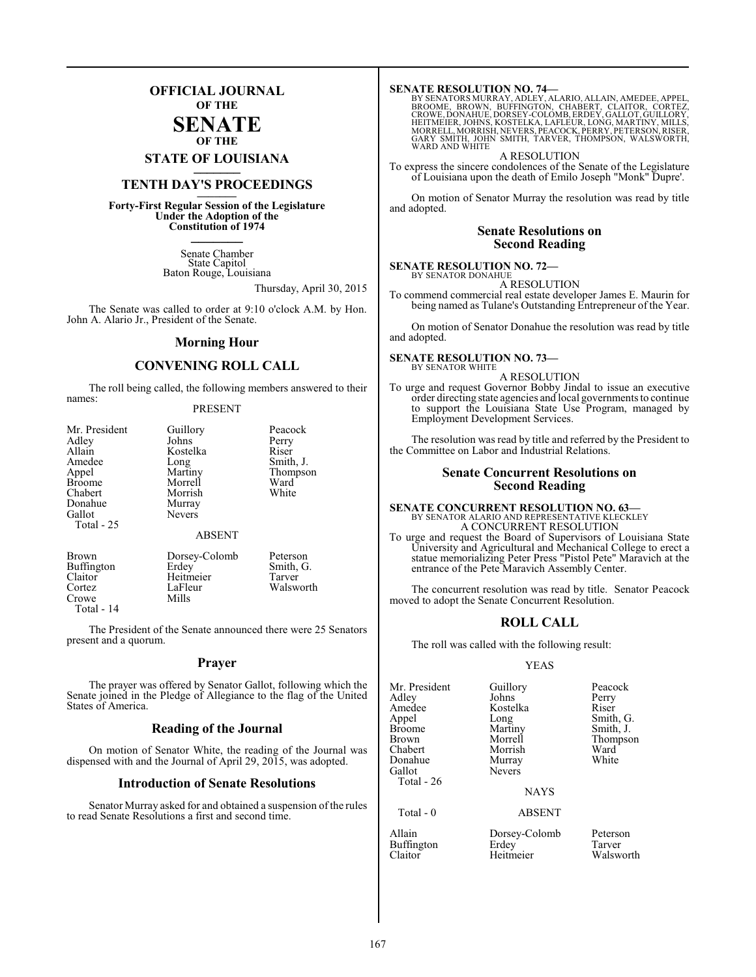## **OFFICIAL JOURNAL OF THE**

#### **SENATE OF THE**

**STATE OF LOUISIANA \_\_\_\_\_\_\_**

## **TENTH DAY'S PROCEEDINGS \_\_\_\_\_\_\_**

**Forty-First Regular Session of the Legislature Under the Adoption of the Constitution of 1974 \_\_\_\_\_\_\_**

> Senate Chamber State Capitol Baton Rouge, Louisiana

> > Thursday, April 30, 2015

The Senate was called to order at 9:10 o'clock A.M. by Hon. John A. Alario Jr., President of the Senate.

#### **Morning Hour**

### **CONVENING ROLL CALL**

The roll being called, the following members answered to their names:

#### PRESENT

| Mr. President                                      | Guillory               | Peacock                                 |
|----------------------------------------------------|------------------------|-----------------------------------------|
| Adley                                              | Johns                  | Perry                                   |
| Allain                                             | Kostelka               | Riser                                   |
| Amedee                                             | Long                   | Smith, J.                               |
| Appel                                              | Martiny                | Thompson                                |
| <b>Broome</b>                                      | Morrell                | Ward                                    |
| Chabert                                            | Morrish                | White                                   |
| Donahue                                            | Murray                 |                                         |
| Gallot                                             | <b>Nevers</b>          |                                         |
| Total - 25                                         |                        |                                         |
|                                                    | <b>ABSENT</b>          |                                         |
| <b>Brown</b><br>$\mathbf{p}_{\mathbf{u}}$ ffinaton | Dorsey-Colomb<br>Frdav | Peterson<br>$C_{\rm min}$ $C_{\rm min}$ |

Claitor Heitmeier<br>Cortez LaFleur Crowe Total - 14

Buffington Erdey Smith, G.<br>Claitor Heitmeier Tarver LaFleur Walsworth<br>Mills

The President of the Senate announced there were 25 Senators present and a quorum.

#### **Prayer**

The prayer was offered by Senator Gallot, following which the Senate joined in the Pledge of Allegiance to the flag of the United States of America.

### **Reading of the Journal**

On motion of Senator White, the reading of the Journal was dispensed with and the Journal of April 29, 2015, was adopted.

#### **Introduction of Senate Resolutions**

Senator Murray asked for and obtained a suspension of the rules to read Senate Resolutions a first and second time.

**SENATE RESOLUTION NO. 74—**<br>BY SENATORS MURRAY, ADLEY, ALARIO, ALLAIN, AMEDEE, APPEL,<br>BROOME, BROWN, BUFFINGTON, CHABERT, CLAITOR, CORTEZ,<br>CROWE, DONAHUE, DORSEY-COLOMB, ERDEY, GALLOT, GUILLORY, HEITMEIER, JOHNS, KOSTELKA, LAFLEUR, LONG, MARTINY, MILLS, MORRELL, MORRISH, NEVERS, PEACOCK, PERRY, PETERSON,RISER, GARY SMITH, JOHN SMITH, TARVER, THOMPSON, WALSWORTH, WARD AND WHITE

A RESOLUTION To express the sincere condolences of the Senate of the Legislature of Louisiana upon the death of Emilo Joseph "Monk" Dupre'.

On motion of Senator Murray the resolution was read by title and adopted.

#### **Senate Resolutions on Second Reading**

#### **SENATE RESOLUTION NO. 72—** BY SENATOR DONAHUE

A RESOLUTION

To commend commercial real estate developer James E. Maurin for being named as Tulane's Outstanding Entrepreneur of the Year.

On motion of Senator Donahue the resolution was read by title and adopted.

#### **SENATE RESOLUTION NO. 73—** BY SENATOR WHITE

A RESOLUTION

To urge and request Governor Bobby Jindal to issue an executive order directing state agencies and local governments to continue to support the Louisiana State Use Program, managed by Employment Development Services.

The resolution was read by title and referred by the President to the Committee on Labor and Industrial Relations.

#### **Senate Concurrent Resolutions on Second Reading**

#### **SENATE CONCURRENT RESOLUTION NO. 63—** BY SENATOR ALARIO AND REPRESENTATIVE KLECKLEY A CONCURRENT RESOLUTION

To urge and request the Board of Supervisors of Louisiana State University and Agricultural and Mechanical College to erect a statue memorializing Peter Press "Pistol Pete" Maravich at the entrance of the Pete Maravich Assembly Center.

The concurrent resolution was read by title. Senator Peacock moved to adopt the Senate Concurrent Resolution.

### **ROLL CALL**

The roll was called with the following result:

#### YEAS

| Mr. President<br>Adley<br>Amedee<br>Appel<br><b>Broome</b><br>Brown<br>Chabert<br>Donahue<br>Gallot<br>Total - 26 | Guillory<br>Johns<br>Kostelka<br>Long<br>Martiny<br>Morrell<br>Morrish<br>Murray<br><b>Nevers</b><br><b>NAYS</b> | Peacock<br>Perry<br>Riser<br>Smith, G.<br>Smith, J.<br>Thompson<br>Ward<br>White |
|-------------------------------------------------------------------------------------------------------------------|------------------------------------------------------------------------------------------------------------------|----------------------------------------------------------------------------------|
| Total - 0                                                                                                         | <b>ABSENT</b>                                                                                                    |                                                                                  |
| Allain                                                                                                            | Dorsey-Colomb                                                                                                    | Peterson                                                                         |

Heitmeier

Buffington Erdey Tarver<br>
Claitor Heitmeier Walsworth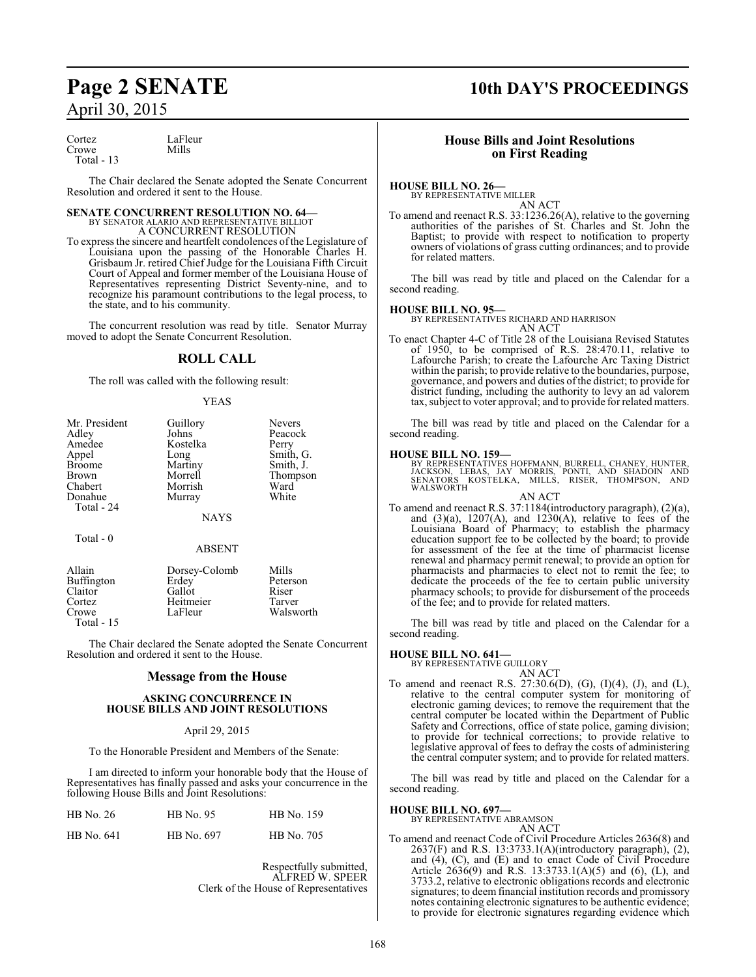| Cortez      | LaFleur |
|-------------|---------|
| Crowe       | Mills   |
| Total $-13$ |         |

The Chair declared the Senate adopted the Senate Concurrent Resolution and ordered it sent to the House.

# **SENATE CONCURRENT RESOLUTION NO. 64—**<br>BY SENATOR ALARIO AND REPRESENTATIVE BILLIOT<br>A CONCURRENT RESOLUTION

To express the sincere and heartfelt condolences ofthe Legislature of Louisiana upon the passing of the Honorable Charles H. Grisbaum Jr. retired Chief Judge for the Louisiana Fifth Circuit Court of Appeal and former member of the Louisiana House of Representatives representing District Seventy-nine, and to recognize his paramount contributions to the legal process, to the state, and to his community.

The concurrent resolution was read by title. Senator Murray moved to adopt the Senate Concurrent Resolution.

#### **ROLL CALL**

The roll was called with the following result:

#### YEAS

|             | <b>Nevers</b>    |
|-------------|------------------|
| Johns       | Peacock          |
| Kostelka    | Perry            |
|             | Smith, G.        |
| Martiny     | Smith, J.        |
| Morrell     | Thompson         |
| Morrish     | Ward             |
| Murray      | White            |
|             |                  |
| <b>NAYS</b> |                  |
|             | Guillory<br>Long |

Total - 0

### ABSENT Allain Dorsey-Colomb Mills

| Aliain     | Dorsey-Colomb | <b>M</b> ilis |  |
|------------|---------------|---------------|--|
| Buffington | Erdey         | Peterson      |  |
| Claitor    | Gallot        | Riser         |  |
| Cortez     | Heitmeier     | Tarver        |  |
| Crowe      | LaFleur       | Walsworth     |  |
| Total - 15 |               |               |  |
|            |               |               |  |

The Chair declared the Senate adopted the Senate Concurrent Resolution and ordered it sent to the House.

#### **Message from the House**

#### **ASKING CONCURRENCE IN HOUSE BILLS AND JOINT RESOLUTIONS**

#### April 29, 2015

To the Honorable President and Members of the Senate:

I am directed to inform your honorable body that the House of Representatives has finally passed and asks your concurrence in the following House Bills and Joint Resolutions:

| HB No. 26  | <b>HB</b> No. 95 | HB No. 159 |
|------------|------------------|------------|
| HB No. 641 | HB No. 697       | HB No. 705 |

Respectfully submitted, ALFRED W. SPEER Clerk of the House of Representatives

## **Page 2 SENATE 10th DAY'S PROCEEDINGS**

#### **House Bills and Joint Resolutions on First Reading**

#### **HOUSE BILL NO. 26—**

BY REPRESENTATIVE MILLER

AN ACT To amend and reenact R.S. 33:1236.26(A), relative to the governing authorities of the parishes of St. Charles and St. John the Baptist; to provide with respect to notification to property owners of violations of grass cutting ordinances; and to provide for related matters.

The bill was read by title and placed on the Calendar for a second reading.

#### **HOUSE BILL NO. 95—**

BY REPRESENTATIVES RICHARD AND HARRISON

AN ACT To enact Chapter 4-C of Title 28 of the Louisiana Revised Statutes of 1950, to be comprised of R.S. 28:470.11, relative to Lafourche Parish; to create the Lafourche Arc Taxing District within the parish; to provide relative to the boundaries, purpose, governance, and powers and duties ofthe district; to provide for district funding, including the authority to levy an ad valorem tax, subject to voter approval; and to provide for related matters.

The bill was read by title and placed on the Calendar for a second reading.

## **HOUSE BILL NO. 159—**

BY REPRESENTATIVES HOFFMANN, BURRELL, CHANEY, HUNTER,<br>JACKSON, LEBAS, JAY MORRIS, PONTI, AND SHADOIN AND<br>SENATORS KOSTELKA, MILLS, RISER, THOMPSON, AND<br>WALSWORTH

AN ACT To amend and reenact R.S. 37:1184(introductory paragraph), (2)(a), and  $(3)(a)$ ,  $1207(A)$ , and  $1230(A)$ , relative to fees of the Louisiana Board of Pharmacy; to establish the pharmacy education support fee to be collected by the board; to provide for assessment of the fee at the time of pharmacist license renewal and pharmacy permit renewal; to provide an option for pharmacists and pharmacies to elect not to remit the fee; to dedicate the proceeds of the fee to certain public university pharmacy schools; to provide for disbursement of the proceeds of the fee; and to provide for related matters.

The bill was read by title and placed on the Calendar for a second reading.

#### **HOUSE BILL NO. 641—**

BY REPRESENTATIVE GUILLORY

- AN ACT
- To amend and reenact R.S. 27:30.6(D), (G), (I)(4), (J), and (L), relative to the central computer system for monitoring of electronic gaming devices; to remove the requirement that the central computer be located within the Department of Public Safety and Corrections, office of state police, gaming division; to provide for technical corrections; to provide relative to legislative approval of fees to defray the costs of administering the central computer system; and to provide for related matters.

The bill was read by title and placed on the Calendar for a second reading.

#### **HOUSE BILL NO. 697—**

BY REPRESENTATIVE ABRAMSON

- AN ACT
- To amend and reenact Code of Civil Procedure Articles 2636(8) and 2637(F) and R.S. 13:3733.1(A)(introductory paragraph), (2), and (4), (C), and (E) and to enact Code of Civil Procedure Article 2636(9) and R.S. 13:3733.1(A)(5) and (6), (L), and 3733.2, relative to electronic obligations records and electronic signatures; to deem financial institution records and promissory notes containing electronic signatures to be authentic evidence; to provide for electronic signatures regarding evidence which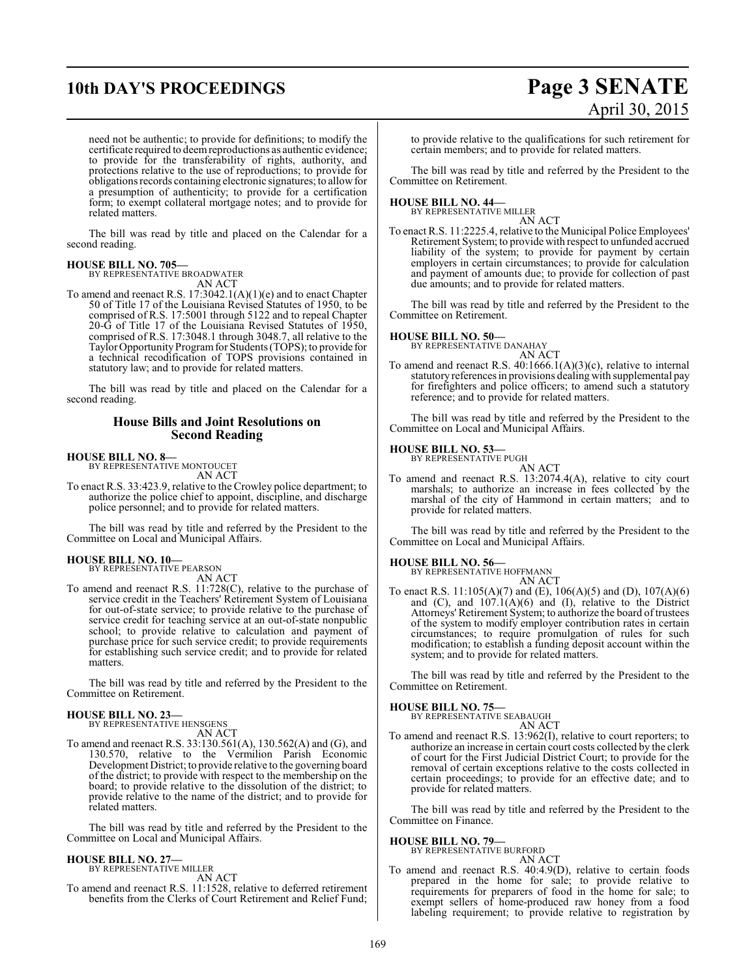# **10th DAY'S PROCEEDINGS Page 3 SENATE**

# April 30, 2015

need not be authentic; to provide for definitions; to modify the certificate required to deemreproductions as authentic evidence; to provide for the transferability of rights, authority, and protections relative to the use of reproductions; to provide for obligations records containing electronic signatures; to allowfor a presumption of authenticity; to provide for a certification form; to exempt collateral mortgage notes; and to provide for related matters.

The bill was read by title and placed on the Calendar for a second reading.

## **HOUSE BILL NO. 705—** BY REPRESENTATIVE BROADWATER

AN ACT

To amend and reenact R.S. 17:3042.1(A)(1)(e) and to enact Chapter 50 of Title 17 of the Louisiana Revised Statutes of 1950, to be comprised of R.S. 17:5001 through 5122 and to repeal Chapter 20-G of Title 17 of the Louisiana Revised Statutes of 1950, comprised of R.S. 17:3048.1 through 3048.7, all relative to the Taylor Opportunity Program for Students (TOPS); to provide for a technical recodification of TOPS provisions contained in statutory law; and to provide for related matters.

The bill was read by title and placed on the Calendar for a second reading.

#### **House Bills and Joint Resolutions on Second Reading**

**HOUSE BILL NO. 8—** BY REPRESENTATIVE MONTOUCET AN ACT

To enact R.S. 33:423.9, relative to the Crowley police department; to authorize the police chief to appoint, discipline, and discharge police personnel; and to provide for related matters.

The bill was read by title and referred by the President to the Committee on Local and Municipal Affairs.

#### **HOUSE BILL NO. 10—** BY REPRESENTATIVE PEARSON

AN ACT

To amend and reenact R.S. 11:728(C), relative to the purchase of service credit in the Teachers' Retirement System of Louisiana for out-of-state service; to provide relative to the purchase of service credit for teaching service at an out-of-state nonpublic school; to provide relative to calculation and payment of purchase price for such service credit; to provide requirements for establishing such service credit; and to provide for related matters.

The bill was read by title and referred by the President to the Committee on Retirement.

**HOUSE BILL NO. 23—** BY REPRESENTATIVE HENSGENS

- AN ACT
- To amend and reenact R.S. 33:130.561(A), 130.562(A) and (G), and 130.570, relative to the Vermilion Parish Economic Development District; to provide relative to the governing board of the district; to provide with respect to the membership on the board; to provide relative to the dissolution of the district; to provide relative to the name of the district; and to provide for related matters.

The bill was read by title and referred by the President to the Committee on Local and Municipal Affairs.

### **HOUSE BILL NO. 27—**

BY REPRESENTATIVE MILLER AN ACT

To amend and reenact R.S. 11:1528, relative to deferred retirement benefits from the Clerks of Court Retirement and Relief Fund;

to provide relative to the qualifications for such retirement for certain members; and to provide for related matters.

The bill was read by title and referred by the President to the Committee on Retirement.

#### **HOUSE BILL NO. 44—**

BY REPRESENTATIVE MILLER AN ACT

To enact R.S. 11:2225.4, relative to the Municipal Police Employees' Retirement System; to provide with respect to unfunded accrued liability of the system; to provide for payment by certain employers in certain circumstances; to provide for calculation and payment of amounts due; to provide for collection of past due amounts; and to provide for related matters.

The bill was read by title and referred by the President to the Committee on Retirement.

#### **HOUSE BILL NO. 50—**

BY REPRESENTATIVE DANAHAY AN ACT

To amend and reenact R.S. 40:1666.1(A)(3)(c), relative to internal statutory references in provisions dealing with supplemental pay for firefighters and police officers; to amend such a statutory reference; and to provide for related matters.

The bill was read by title and referred by the President to the Committee on Local and Municipal Affairs.

#### **HOUSE BILL NO. 53—**

BY REPRESENTATIVE PUGH AN ACT

To amend and reenact R.S. 13:2074.4(A), relative to city court marshals; to authorize an increase in fees collected by the marshal of the city of Hammond in certain matters; and to provide for related matters.

The bill was read by title and referred by the President to the Committee on Local and Municipal Affairs.

#### **HOUSE BILL NO. 56—**

BY REPRESENTATIVE HOFFMANN AN ACT

To enact R.S. 11:105(A)(7) and (E), 106(A)(5) and (D), 107(A)(6) and  $(C)$ , and  $107.1(A)(6)$  and  $(I)$ , relative to the District Attorneys' Retirement System; to authorize the board of trustees of the system to modify employer contribution rates in certain circumstances; to require promulgation of rules for such modification; to establish a funding deposit account within the system; and to provide for related matters.

The bill was read by title and referred by the President to the Committee on Retirement.

#### **HOUSE BILL NO. 75—**

BY REPRESENTATIVE SEABAUGH AN ACT

To amend and reenact R.S. 13:962(I), relative to court reporters; to authorize an increase in certain court costs collected by the clerk of court for the First Judicial District Court; to provide for the removal of certain exceptions relative to the costs collected in certain proceedings; to provide for an effective date; and to provide for related matters.

The bill was read by title and referred by the President to the Committee on Finance.

**HOUSE BILL NO. 79—** BY REPRESENTATIVE BURFORD

AN ACT

To amend and reenact R.S. 40:4.9(D), relative to certain foods prepared in the home for sale; to provide relative to requirements for preparers of food in the home for sale; to exempt sellers of home-produced raw honey from a food labeling requirement; to provide relative to registration by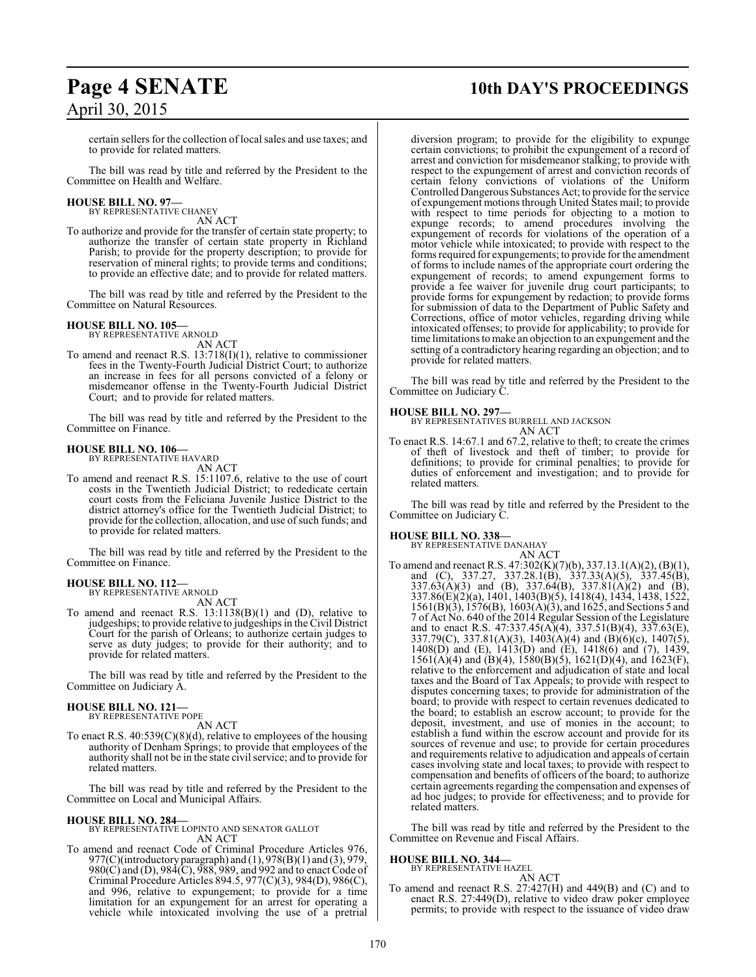certain sellers for the collection of local sales and use taxes; and to provide for related matters.

The bill was read by title and referred by the President to the Committee on Health and Welfare.

#### **HOUSE BILL NO. 97—** BY REPRESENTATIVE CHANEY

AN ACT

To authorize and provide for the transfer of certain state property; to authorize the transfer of certain state property in Richland Parish; to provide for the property description; to provide for reservation of mineral rights; to provide terms and conditions; to provide an effective date; and to provide for related matters.

The bill was read by title and referred by the President to the Committee on Natural Resources.

#### **HOUSE BILL NO. 105—**

BY REPRESENTATIVE ARNOLD AN ACT

To amend and reenact R.S. 13:718(I)(1), relative to commissioner fees in the Twenty-Fourth Judicial District Court; to authorize an increase in fees for all persons convicted of a felony or misdemeanor offense in the Twenty-Fourth Judicial District Court; and to provide for related matters.

The bill was read by title and referred by the President to the Committee on Finance.

#### **HOUSE BILL NO. 106—**

BY REPRESENTATIVE HAVARD

AN ACT To amend and reenact R.S. 15:1107.6, relative to the use of court costs in the Twentieth Judicial District; to rededicate certain court costs from the Feliciana Juvenile Justice District to the district attorney's office for the Twentieth Judicial District; to provide for the collection, allocation, and use of such funds; and to provide for related matters.

The bill was read by title and referred by the President to the Committee on Finance.

#### **HOUSE BILL NO. 112—** BY REPRESENTATIVE ARNOLD

AN ACT

To amend and reenact R.S. 13:1138(B)(1) and (D), relative to judgeships; to provide relative to judgeships in the Civil District Court for the parish of Orleans; to authorize certain judges to serve as duty judges; to provide for their authority; and to provide for related matters.

The bill was read by title and referred by the President to the Committee on Judiciary A.

#### **HOUSE BILL NO. 121—** BY REPRESENTATIVE POPE

AN ACT

To enact R.S. 40:539(C)(8)(d), relative to employees of the housing authority of Denham Springs; to provide that employees of the authority shall not be in the state civil service; and to provide for related matters.

The bill was read by title and referred by the President to the Committee on Local and Municipal Affairs.

#### **HOUSE BILL NO. 284—**

BY REPRESENTATIVE LOPINTO AND SENATOR GALLOT AN ACT

To amend and reenact Code of Criminal Procedure Articles 976, 977(C)(introductory paragraph) and (1), 978(B)(1) and (3), 979, 980(C) and (D), 984(C), 988, 989, and 992 and to enact Code of Criminal Procedure Articles 894.5, 977(C)(3), 984(D), 986(C), and 996, relative to expungement; to provide for a time limitation for an expungement for an arrest for operating a vehicle while intoxicated involving the use of a pretrial

## **Page 4 SENATE 10th DAY'S PROCEEDINGS**

diversion program; to provide for the eligibility to expunge certain convictions; to prohibit the expungement of a record of arrest and conviction for misdemeanor stalking; to provide with respect to the expungement of arrest and conviction records of certain felony convictions of violations of the Uniform Controlled Dangerous Substances Act; to provide for the service of expungement motions through United States mail; to provide with respect to time periods for objecting to a motion to expunge records; to amend procedures involving the expungement of records for violations of the operation of a motor vehicle while intoxicated; to provide with respect to the forms required for expungements; to provide for the amendment of forms to include names of the appropriate court ordering the expungement of records; to amend expungement forms to provide a fee waiver for juvenile drug court participants; to provide forms for expungement by redaction; to provide forms for submission of data to the Department of Public Safety and Corrections, office of motor vehicles, regarding driving while intoxicated offenses; to provide for applicability; to provide for time limitations to make an objection to an expungement and the setting of a contradictory hearing regarding an objection; and to provide for related matters.

The bill was read by title and referred by the President to the Committee on Judiciary C.

#### **HOUSE BILL NO. 297—**

BY REPRESENTATIVES BURRELL AND JACKSON AN ACT

To enact R.S. 14:67.1 and 67.2, relative to theft; to create the crimes of theft of livestock and theft of timber; to provide for definitions; to provide for criminal penalties; to provide for duties of enforcement and investigation; and to provide for related matters.

The bill was read by title and referred by the President to the Committee on Judiciary C.

# **HOUSE BILL NO. 338—** BY REPRESENTATIVE DANAHAY

AN ACT To amend and reenact R.S. 47:302(K)(7)(b), 337.13.1(A)(2), (B)(1), and (C), 337.27, 337.28.1(B), 337.33(A)(5), 337.45(B),  $337.63(A)(3)$  and (B),  $337.64(B)$ ,  $337.81(A)(2)$  and (B), 337.86(E)(2)(a), 1401, 1403(B)(5), 1418(4), 1434, 1438, 1522, 1561(B)(3), 1576(B), 1603(A)(3), and 1625, and Sections 5 and 7 of Act No. 640 of the 2014 Regular Session of the Legislature and to enact R.S.  $47:337.45(A)(4)$ ,  $337.51(B)(4)$ ,  $337.63(E)$ , 337.79(C), 337.81(A)(3), 1403(A)(4) and (B)(6)(c), 1407(5), 1408(D) and (E), 1413(D) and (E), 1418(6) and (7), 1439,  $1561(A)(4)$  and  $(B)(4)$ ,  $1580(B)(5)$ ,  $1621(D)(4)$ , and  $1623(F)$ , relative to the enforcement and adjudication of state and local taxes and the Board of Tax Appeals; to provide with respect to disputes concerning taxes; to provide for administration of the board; to provide with respect to certain revenues dedicated to the board; to establish an escrow account; to provide for the deposit, investment, and use of monies in the account; to establish a fund within the escrow account and provide for its sources of revenue and use; to provide for certain procedures and requirements relative to adjudication and appeals of certain cases involving state and local taxes; to provide with respect to compensation and benefits of officers of the board; to authorize certain agreements regarding the compensation and expenses of ad hoc judges; to provide for effectiveness; and to provide for related matters.

The bill was read by title and referred by the President to the Committee on Revenue and Fiscal Affairs.

#### **HOUSE BILL NO. 344—**

BY REPRESENTATIVE HAZEL

AN ACT To amend and reenact R.S. 27:427(H) and 449(B) and (C) and to enact R.S. 27:449(D), relative to video draw poker employee permits; to provide with respect to the issuance of video draw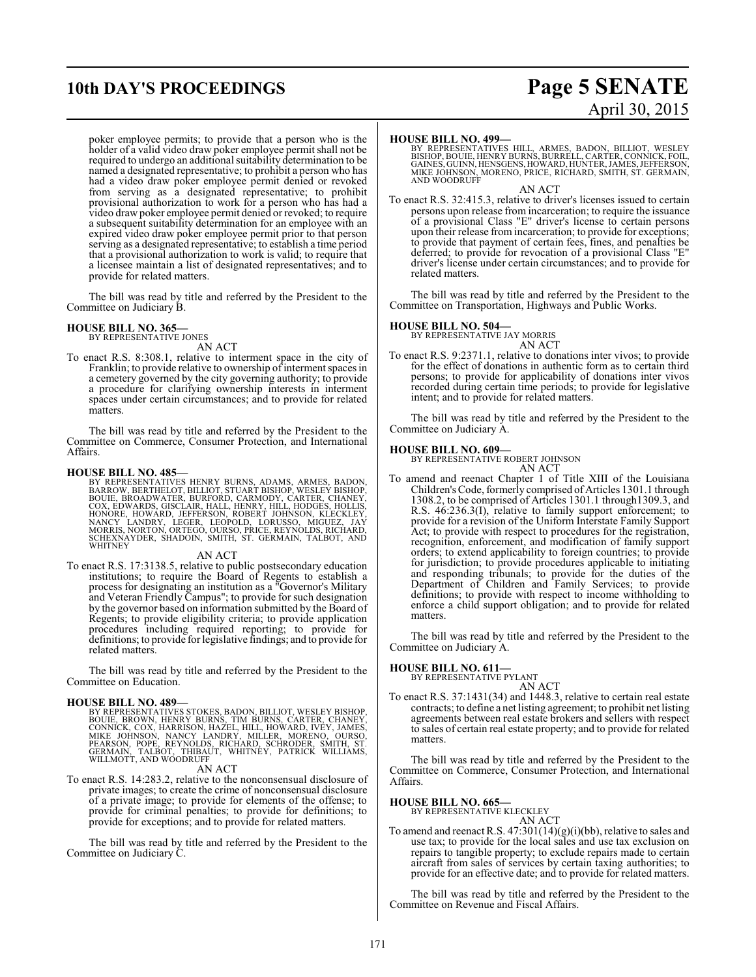# **10th DAY'S PROCEEDINGS Page 5 SENATE**

poker employee permits; to provide that a person who is the holder of a valid video draw poker employee permit shall not be required to undergo an additional suitability determination to be named a designated representative; to prohibit a person who has had a video draw poker employee permit denied or revoked from serving as a designated representative; to prohibit provisional authorization to work for a person who has had a video drawpoker employee permit denied or revoked; to require a subsequent suitability determination for an employee with an expired video draw poker employee permit prior to that person serving as a designated representative; to establish a time period that a provisional authorization to work is valid; to require that a licensee maintain a list of designated representatives; and to provide for related matters.

The bill was read by title and referred by the President to the Committee on Judiciary B.

#### **HOUSE BILL NO. 365—**

BY REPRESENTATIVE JONES

AN ACT To enact R.S. 8:308.1, relative to interment space in the city of Franklin; to provide relative to ownership of interment spaces in a cemetery governed by the city governing authority; to provide a procedure for clarifying ownership interests in interment spaces under certain circumstances; and to provide for related matters.

The bill was read by title and referred by the President to the Committee on Commerce, Consumer Protection, and International Affairs.

**HOUSE BILL NO. 485—**<br>BY REPRESENTATIVES HENRY BURNS, ADAMS, ARMES, BADON,<br>BARROW, BERTHELOT, BILLIOT, STUART BISHOP, WESLEY BISHOP,<br>BOUIE, BROADWATER, BURFORD, CARMODY, CARTER, CHANEY,<br>COX, EDWARDS, GISCLAIR, HALL, HENRY,

#### AN ACT

To enact R.S. 17:3138.5, relative to public postsecondary education institutions; to require the Board of Regents to establish a process for designating an institution as a "Governor's Military and Veteran Friendly Campus"; to provide for such designation by the governor based on information submitted by the Board of Regents; to provide eligibility criteria; to provide application procedures including required reporting; to provide for definitions; to provide for legislative findings; and to provide for related matters.

The bill was read by title and referred by the President to the Committee on Education.

#### **HOUSE BILL NO. 489—**

BY REPRESENTATIVES STOKES, BADON, BILLIOT, WESLEY BISHOP,<br>BOUIE, BROWN, HENRY BURNS, TIM BURNS, CARTER, CHANEY,<br>CONNICK, COX, HARRISON, HAZEL, HILL, HOWARD, IVEY, JAMES,<br>MIKE JOHNSON, NANCY LANDRY, MILLER, MORENO, OURSO,<br>P

#### AN ACT

To enact R.S. 14:283.2, relative to the nonconsensual disclosure of private images; to create the crime of nonconsensual disclosure of a private image; to provide for elements of the offense; to provide for criminal penalties; to provide for definitions; to provide for exceptions; and to provide for related matters.

The bill was read by title and referred by the President to the Committee on Judiciary C.

# April 30, 2015

#### **HOUSE BILL NO. 499—**

BY REPRESENTATIVES HILL, ARMES, BADON, BILLIOT, WESLEY<br>BISHOP,BOUIE,HENRY BURNS,BURRELL,CARTER,CONNICK,FOIL,<br>GAINES,GUINN,HENSGENS,HOWARD,HUNTER,JAMES,JEFFERSON,<br>MIKE JOHNSON,MORENO,PRICE,RICHARD,SMITH, ST. GERMAIN,<br>AND WO

#### AN ACT

To enact R.S. 32:415.3, relative to driver's licenses issued to certain persons upon release from incarceration; to require the issuance of a provisional Class "E" driver's license to certain persons upon their release from incarceration; to provide for exceptions; to provide that payment of certain fees, fines, and penalties be deferred; to provide for revocation of a provisional Class "E" driver's license under certain circumstances; and to provide for related matters.

The bill was read by title and referred by the President to the Committee on Transportation, Highways and Public Works.

**HOUSE BILL NO. 504—** BY REPRESENTATIVE JAY MORRIS AN ACT

To enact R.S. 9:2371.1, relative to donations inter vivos; to provide for the effect of donations in authentic form as to certain third persons; to provide for applicability of donations inter vivos recorded during certain time periods; to provide for legislative intent; and to provide for related matters.

The bill was read by title and referred by the President to the Committee on Judiciary A.

#### **HOUSE BILL NO. 609—**

BY REPRESENTATIVE ROBERT JOHNSON AN ACT

To amend and reenact Chapter 1 of Title XIII of the Louisiana Children's Code, formerly comprised of Articles 1301.1 through 1308.2, to be comprised of Articles 1301.1 through1309.3, and R.S. 46:236.3(I), relative to family support enforcement; to provide for a revision of the Uniform Interstate Family Support Act; to provide with respect to procedures for the registration, recognition, enforcement, and modification of family support orders; to extend applicability to foreign countries; to provide for jurisdiction; to provide procedures applicable to initiating and responding tribunals; to provide for the duties of the Department of Children and Family Services; to provide definitions; to provide with respect to income withholding to enforce a child support obligation; and to provide for related matters.

The bill was read by title and referred by the President to the Committee on Judiciary A.

### **HOUSE BILL NO. 611—**

BY REPRESENTATIVE PYLANT AN ACT

To enact R.S. 37:1431(34) and 1448.3, relative to certain real estate contracts; to define a net listing agreement; to prohibit net listing agreements between real estate brokers and sellers with respect to sales of certain real estate property; and to provide for related matters.

The bill was read by title and referred by the President to the Committee on Commerce, Consumer Protection, and International Affairs.

**HOUSE BILL NO. 665—** BY REPRESENTATIVE KLECKLEY

AN ACT To amend and reenact R.S.  $47:301(14)(g)(i)(bb)$ , relative to sales and use tax; to provide for the local sales and use tax exclusion on repairs to tangible property; to exclude repairs made to certain aircraft from sales of services by certain taxing authorities; to provide for an effective date; and to provide for related matters.

The bill was read by title and referred by the President to the Committee on Revenue and Fiscal Affairs.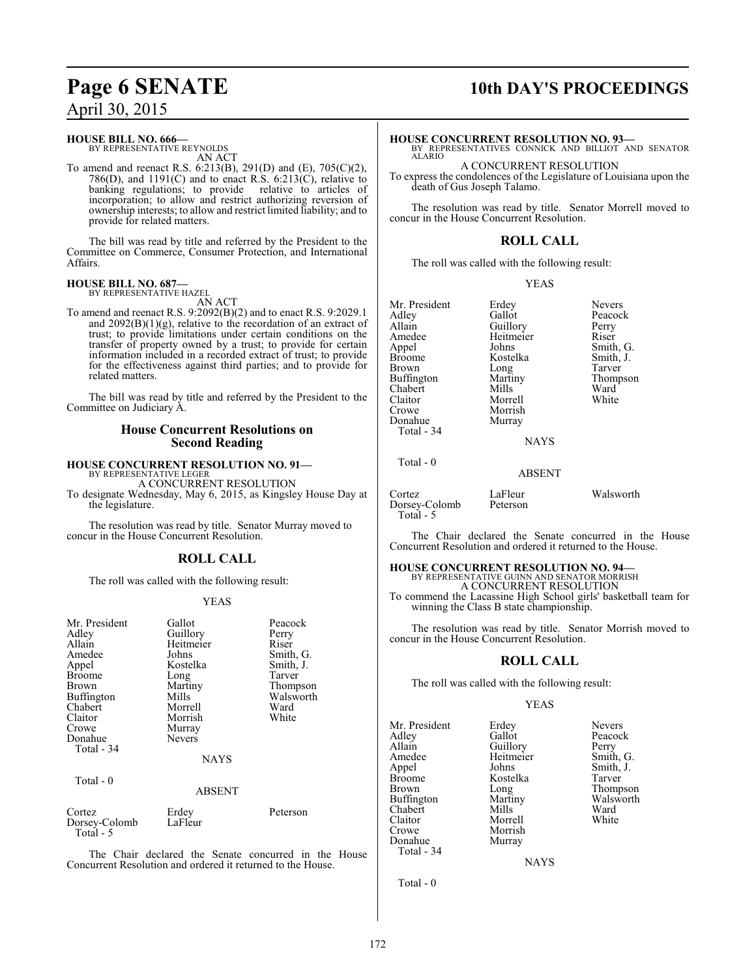#### **HOUSE BILL NO. 666—**

BY REPRESENTATIVE REYNOLDS AN ACT

To amend and reenact R.S. 6:213(B), 291(D) and (E), 705(C)(2), 786(D), and 1191(C) and to enact R.S.  $6:213(\text{C})$ , relative to banking regulations; to provide relative to articles of banking regulations; to provide incorporation; to allow and restrict authorizing reversion of ownership interests; to allow and restrict limited liability; and to provide for related matters.

The bill was read by title and referred by the President to the Committee on Commerce, Consumer Protection, and International Affairs.

#### **HOUSE BILL NO. 687—** BY REPRESENTATIVE HAZEL

AN ACT

To amend and reenact R.S. 9:2092(B)(2) and to enact R.S. 9:2029.1 and 2092(B)(1)(g), relative to the recordation of an extract of trust; to provide limitations under certain conditions on the transfer of property owned by a trust; to provide for certain information included in a recorded extract of trust; to provide for the effectiveness against third parties; and to provide for related matters.

The bill was read by title and referred by the President to the Committee on Judiciary A.

#### **House Concurrent Resolutions on Second Reading**

#### **HOUSE CONCURRENT RESOLUTION NO. 91—** BY REPRESENTATIVE LEGER

A CONCURRENT RESOLUTION

To designate Wednesday, May 6, 2015, as Kingsley House Day at the legislature.

The resolution was read by title. Senator Murray moved to concur in the House Concurrent Resolution.

## **ROLL CALL**

The roll was called with the following result:

#### YEAS

| Mr. President<br>Adley<br>Allain<br>Amedee<br>Appel<br><b>Broome</b><br>Brown<br>Buffington<br>Chabert<br>Claitor<br>Crowe<br>Donahue<br>Total - 34<br>Total - 0 | Gallot<br>Guillory<br>Heitmeier<br>Johns<br>Kostelka<br>Long<br>Martiny<br>Mills<br>Morrell<br>Morrish<br>Murray<br><b>Nevers</b><br><b>NAYS</b><br><b>ABSENT</b> | Peacock<br>Perry<br>Riser<br>Smith, G.<br>Smith, J.<br>Tarver<br>Thompson<br>Walsworth<br>Ward<br>White |
|------------------------------------------------------------------------------------------------------------------------------------------------------------------|-------------------------------------------------------------------------------------------------------------------------------------------------------------------|---------------------------------------------------------------------------------------------------------|
| Cortez                                                                                                                                                           | Erdey                                                                                                                                                             | Peterson                                                                                                |
| Dorsey-Colomb<br>Total - 5                                                                                                                                       | LaFleur                                                                                                                                                           |                                                                                                         |

The Chair declared the Senate concurred in the House Concurrent Resolution and ordered it returned to the House.

# **Page 6 SENATE 10th DAY'S PROCEEDINGS**

#### **HOUSE CONCURRENT RESOLUTION NO. 93—**

BY REPRESENTATIVES CONNICK AND BILLIOT AND SENATOR ALARIO

A CONCURRENT RESOLUTION

To express the condolences of the Legislature of Louisiana upon the death of Gus Joseph Talamo.

The resolution was read by title. Senator Morrell moved to concur in the House Concurrent Resolution.

### **ROLL CALL**

The roll was called with the following result:

YEAS

| Mr. President     | Erdey     | <b>Nevers</b> |
|-------------------|-----------|---------------|
| Adley             | Gallot    | Peacock       |
| Allain            | Guillory  | Perry         |
| Amedee            | Heitmeier | Riser         |
| Appel             | Johns     | Smith, G.     |
| <b>Broome</b>     | Kostelka  | Smith, J.     |
| Brown             | Long      | Tarver        |
| <b>Buffington</b> | Martiny   | Thompson      |
| Chabert           | Mills     | Ward          |
| Claitor           | Morrell   | White         |
| Crowe             | Morrish   |               |
| Donahue           | Murray    |               |
| $Total - 34$      |           |               |

Total - 0

**NAYS** 

#### ABSENT

Cortez LaFleur Walsworth<br>Dorsey-Colomb Peterson Dorsey-Colomb Total - 5

The Chair declared the Senate concurred in the House Concurrent Resolution and ordered it returned to the House.

# **HOUSE CONCURRENT RESOLUTION NO. 94—**<br>BY REPRESENTATIVE GUINN AND SENATOR MORRISH A CONCURRENT RESOLUTION

To commend the Lacassine High School girls' basketball team for winning the Class B state championship.

The resolution was read by title. Senator Morrish moved to concur in the House Concurrent Resolution.

### **ROLL CALL**

The roll was called with the following result:

Morrish<br>Murray

#### YEAS

Mr. President Erdey Nevers<br>Adley Gallot Peacoc Adley Gallot Peacock<br>
Allain Guillory Perry Allain Guillory<br>Amedee Heitmeier Amedee Heitmeier Smith, G.<br>
Appel Johns Smith, J. Appel Johns Smith, J.<br>Broome Kostelka Tarver Broome Kostelka<br>Brown Long Brown Long Thompson<br>Buffington Martiny Walsworth Chabert Mills Ward<br>Claitor Morrell White Claitor Morrell<br>Crowe Morrish Donahue Total - 34

Martiny Walsworth<br>Mills Ward

NAYS

Total - 0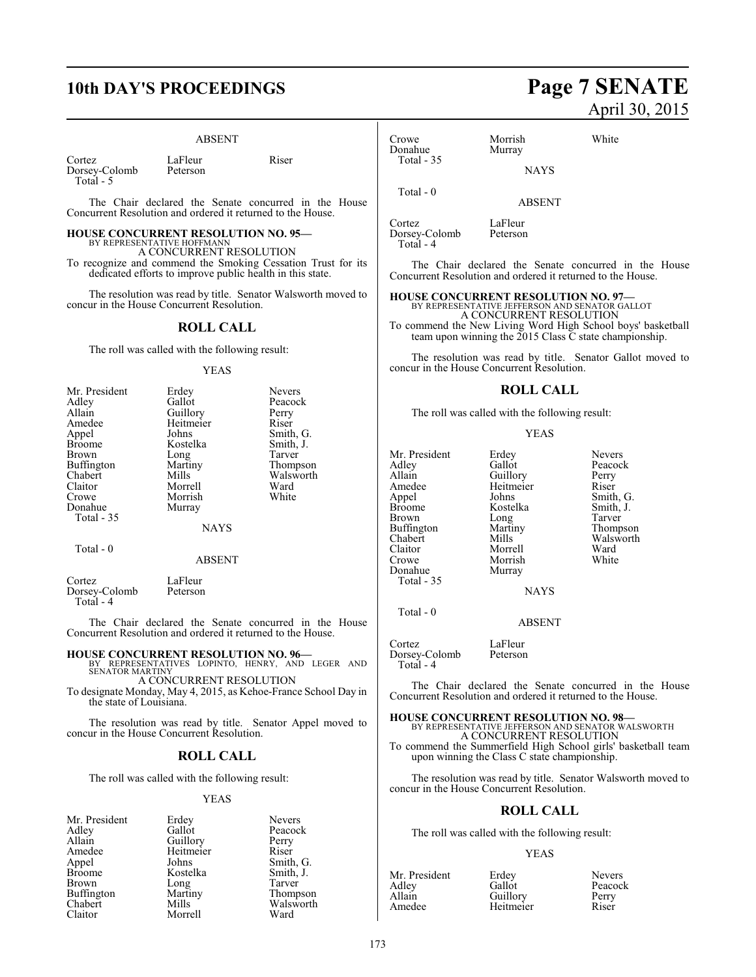## **10th DAY'S PROCEEDINGS Page 7 SENATE**

#### ABSENT

Cortez LaFleur Riser<br>Dorsey-Colomb Peterson Dorsey-Colomb Total - 5

The Chair declared the Senate concurred in the House Concurrent Resolution and ordered it returned to the House.

## **HOUSE CONCURRENT RESOLUTION NO. 95—**

BY REPRESENTATIVE HOFFMANN A CONCURRENT RESOLUTION

To recognize and commend the Smoking Cessation Trust for its dedicated efforts to improve public health in this state.

The resolution was read by title. Senator Walsworth moved to concur in the House Concurrent Resolution.

#### **ROLL CALL**

The roll was called with the following result:

#### YEAS

| Mr. President     | Erdey         | <b>Nevers</b> |
|-------------------|---------------|---------------|
| Adley             | Gallot        | Peacock       |
| Allain            | Guillory      | Perry         |
| Amedee            | Heitmeier     | Riser         |
| Appel             | Johns         | Smith, G.     |
| <b>Broome</b>     | Kostelka      | Smith, J.     |
| Brown             | Long          | Tarver        |
| <b>Buffington</b> | Martiny       | Thompson      |
| Chabert           | Mills         | Walsworth     |
| Claitor           | Morrell       | Ward          |
| Crowe             | Morrish       | White         |
| Donahue           | Murray        |               |
| <b>Total - 35</b> |               |               |
|                   | <b>NAYS</b>   |               |
| Total - 0         |               |               |
|                   | <b>ABSENT</b> |               |
|                   |               |               |

| Cortez        | LaFleur  |
|---------------|----------|
| Dorsey-Colomb | Peterson |
| Total - 4     |          |

The Chair declared the Senate concurred in the House Concurrent Resolution and ordered it returned to the House.

#### **HOUSE CONCURRENT RESOLUTION NO. 96—**

BY REPRESENTATIVES LOPINTO, HENRY, AND LEGER AND SENATOR MARTINY A CONCURRENT RESOLUTION

To designate Monday, May 4, 2015, as Kehoe-France School Day in the state of Louisiana.

The resolution was read by title. Senator Appel moved to concur in the House Concurrent Resolution.

#### **ROLL CALL**

The roll was called with the following result:

#### YEAS

| Mr. President | Erdey     | <b>Nevers</b> |
|---------------|-----------|---------------|
| Adley         | Gallot    | Peacoc        |
| Allain        | Guillory  | Perry         |
| Amedee        | Heitmeier | Riser         |
| Appel         | Johns     | Smith,        |
| <b>Broome</b> | Kostelka  | Smith,        |
| Brown         | Long      | Tarver        |
| Buffington    | Martiny   | Thomp         |
| Chabert       | Mills     | Walswo        |
| Claitor       | Morrell   | Ward          |
|               |           |               |

Peacock ry Perry<br>eier Riser Smith, G.<br>Smith, J. Smith, J. Tarver v Thompson Walsworth<br>Ward

# April 30, 2015

| Morrish<br>Murray | White |
|-------------------|-------|
| <b>NAYS</b>       |       |
| <b>ABSENT</b>     |       |
|                   |       |

Cortez LaFleur<br>Dorsey-Colomb Peterson Dorsey-Colomb Total - 4

The Chair declared the Senate concurred in the House Concurrent Resolution and ordered it returned to the House.

**HOUSE CONCURRENT RESOLUTION NO. 97—**<br>BY REPRESENTATIVE JEFFERSON AND SENATOR GALLOT<br>A CONCURRENT RESOLUTION To commend the New Living Word High School boys' basketball team upon winning the 2015 Class C state championship.

The resolution was read by title. Senator Gallot moved to concur in the House Concurrent Resolution.

#### **ROLL CALL**

The roll was called with the following result:

Morrish<br>Murray

#### YEAS

Mr. President Erdey Nevers<br>Adley Gallot Peacoc Adley Gallot Peacock Allain Cuillory Perry<br>Amedee Heitmeier Riser Amedee Heitmeier<br>
Appel Johns Appel Johns Smith, G.<br>Broome Kostelka Smith, J. Broome Kostelka Smith,<br>Brown Long Tarver Buffington Martington<br>Chabert Mills Chabert Mills Walsworth<br>Claitor Morrell Ward Claitor Morrell Ward<br>Crowe Morrish White Donahue Total - 35

Long Tarver<br>
Martiny Thompson

## NAYS

ABSENT

Total - 0

Cortez LaFleur<br>Dorsev-Colomb Peterson Dorsey-Colomb Total - 4

The Chair declared the Senate concurred in the House Concurrent Resolution and ordered it returned to the House.

#### **HOUSE CONCURRENT RESOLUTION NO. 98—** BY REPRESENTATIVE JEFFERSON AND SENATOR WALSWORTH

A CONCURRENT RESOLUTION

To commend the Summerfield High School girls' basketball team upon winning the Class C state championship.

The resolution was read by title. Senator Walsworth moved to concur in the House Concurrent Resolution.

### **ROLL CALL**

The roll was called with the following result:

#### YEAS

| Mr. President | Erdey     | <b>Nevers</b> |
|---------------|-----------|---------------|
| Adley         | Gallot    | Peacock       |
| Allain        | Guillory  | Perry         |
| Amedee        | Heitmeier | Riser         |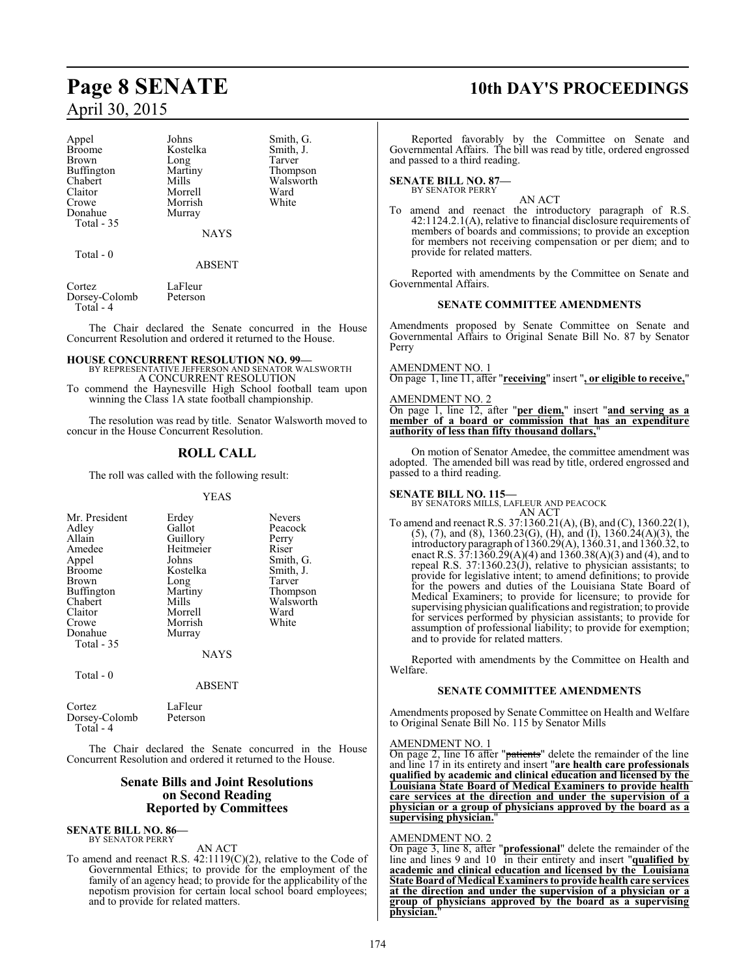Appel Johns Smith, G.<br>Broome Kostelka Smith, J. Broome Kostelka Smith,<br>Brown Long Tarver Brown Long<br>Buffington Martiny Buffington Martiny Thompson<br>Chabert Mills Walsworth Chabert Mills Walsworth<br>Claitor Morrell Ward Claitor Morrell Ward<br>Crowe Morrish White Donahue Murray Total - 35

Morrish

NAYS

Total - 0

ABSENT

Cortez LaFleur<br>Dorsev-Colomb Peterson Dorsey-Colomb Total - 4

The Chair declared the Senate concurred in the House Concurrent Resolution and ordered it returned to the House.

## **HOUSE CONCURRENT RESOLUTION NO. 99—** BY REPRESENTATIVE JEFFERSON AND SENATOR WALSWORTH

A CONCURRENT RESOLUTION

To commend the Haynesville High School football team upon winning the Class 1A state football championship.

The resolution was read by title. Senator Walsworth moved to concur in the House Concurrent Resolution.

### **ROLL CALL**

The roll was called with the following result:

#### YEAS

| Mr. President<br>Adley<br>Allain<br>Amedee<br>Appel<br><b>Broome</b><br><b>Brown</b><br>Buffington<br>Chabert<br>Claitor<br>Crowe<br>Donahue<br>Total - 35 | Erdey<br>Gallot<br>Guillory<br>Heitmeier<br>Johns<br>Kostelka<br>Long<br>Martiny<br>Mills<br>Morrell<br>Morrish<br>Murray<br><b>NAYS</b> | <b>Nevers</b><br>Peacock<br>Perry<br>Riser<br>Smith, G.<br>Smith, J.<br>Tarver<br>Thompson<br>Walsworth<br>Ward<br>White |
|------------------------------------------------------------------------------------------------------------------------------------------------------------|------------------------------------------------------------------------------------------------------------------------------------------|--------------------------------------------------------------------------------------------------------------------------|
| Total - 0                                                                                                                                                  |                                                                                                                                          |                                                                                                                          |

ABSENT

| Cortez        | LaFleur  |
|---------------|----------|
| Dorsey-Colomb | Peterson |
| Total - 4     |          |

The Chair declared the Senate concurred in the House Concurrent Resolution and ordered it returned to the House.

#### **Senate Bills and Joint Resolutions on Second Reading Reported by Committees**

#### **SENATE BILL NO. 86—** BY SENATOR PERRY

AN ACT

To amend and reenact R.S. 42:1119(C)(2), relative to the Code of Governmental Ethics; to provide for the employment of the family of an agency head; to provide for the applicability of the nepotism provision for certain local school board employees; and to provide for related matters.

## **Page 8 SENATE 10th DAY'S PROCEEDINGS**

Reported favorably by the Committee on Senate and Governmental Affairs. The bill was read by title, ordered engrossed and passed to a third reading.

### **SENATE BILL NO. 87—**

BY SENATOR PERRY

AN ACT To amend and reenact the introductory paragraph of R.S. 42:1124.2.1(A), relative to financial disclosure requirements of members of boards and commissions; to provide an exception for members not receiving compensation or per diem; and to provide for related matters.

Reported with amendments by the Committee on Senate and Governmental Affairs.

#### **SENATE COMMITTEE AMENDMENTS**

Amendments proposed by Senate Committee on Senate and Governmental Affairs to Original Senate Bill No. 87 by Senator Perry

### AMENDMENT NO. 1

On page 1, line 11, after "**receiving**" insert "**, or eligible to receive,**"

## AMENDMENT NO. 2

On page 1, line 12, after "**per diem,**" insert "**and serving as a member of a board or commission that has an expenditure authority of less than fifty thousand dollars,**"

On motion of Senator Amedee, the committee amendment was adopted. The amended bill was read by title, ordered engrossed and passed to a third reading.

#### **SENATE BILL NO. 115—**

BY SENATORS MILLS, LAFLEUR AND PEACOCK AN ACT

To amend and reenact R.S. 37:1360.21(A), (B), and (C), 1360.22(1), (5), (7), and (8), 1360.23(G), (H), and (I), 1360.24(A)(3), the introductory paragraph of 1360.29(A), 1360.31, and 1360.32, to enact R.S. 37:1360.29(A)(4) and 1360.38(A)(3) and (4), and to repeal R.S.  $37:1360.23(j)$ , relative to physician assistants; to provide for legislative intent; to amend definitions; to provide for the powers and duties of the Louisiana State Board of Medical Examiners; to provide for licensure; to provide for supervising physician qualifications and registration; to provide for services performed by physician assistants; to provide for assumption of professional liability; to provide for exemption; and to provide for related matters.

Reported with amendments by the Committee on Health and Welfare.

#### **SENATE COMMITTEE AMENDMENTS**

Amendments proposed by Senate Committee on Health and Welfare to Original Senate Bill No. 115 by Senator Mills

#### AMENDMENT NO. 1

On page 2, line 16 after "<del>patients</del>" delete the remainder of the line and line 17 in its entirety and insert "**are health care professionals qualified by academic and clinical education and licensed by the Louisiana State Board of Medical Examiners to provide health care services at the direction and under the supervision of a physician or a group of physicians approved by the board as a supervising physician.**"

#### AMENDMENT NO. 2

On page 3, line 8, after "**professional**" delete the remainder of the line and lines 9 and 10 in their entirety and insert "**qualified by academic and clinical education and licensed by the Louisiana State Board of Medical Examiners to provide health care services at the direction and under the supervision of a physician or a group of physicians approved by the board as a supervising physician.**"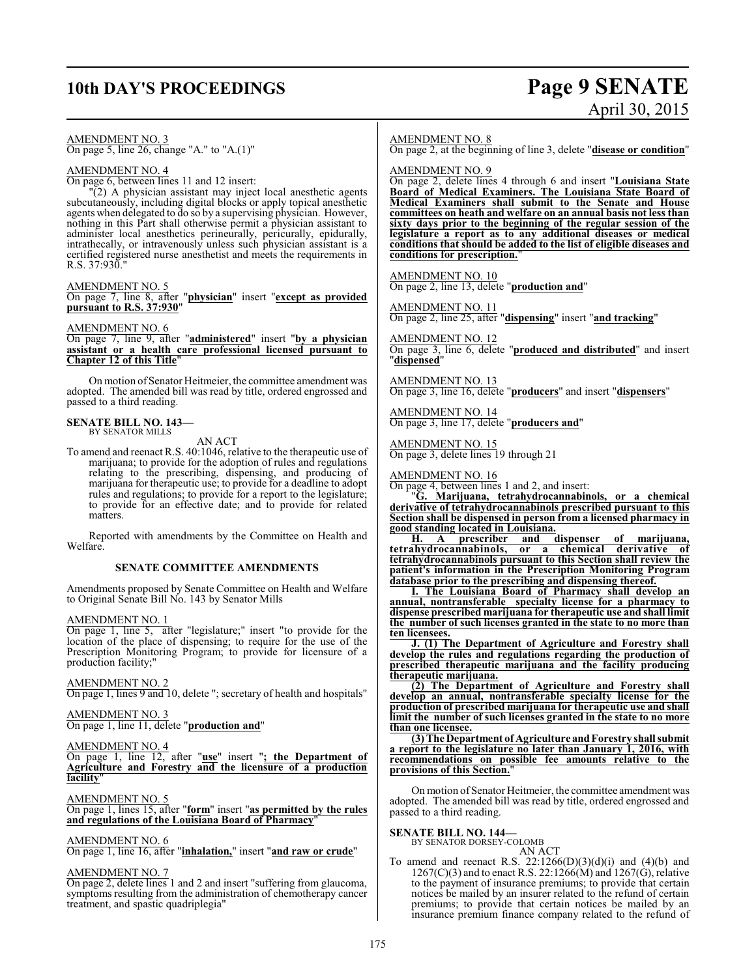## **10th DAY'S PROCEEDINGS Page 9 SENATE**

# April 30, 2015

AMENDMENT NO. 3

On page 5, line 26, change "A." to "A.(1)"

## AMENDMENT NO. 4

On page 6, between lines 11 and 12 insert:

"(2) A physician assistant may inject local anesthetic agents subcutaneously, including digital blocks or apply topical anesthetic agents when delegated to do so by a supervising physician. However, nothing in this Part shall otherwise permit a physician assistant to administer local anesthetics perineurally, pericurally, epidurally, intrathecally, or intravenously unless such physician assistant is a certified registered nurse anesthetist and meets the requirements in R.S. 37:930."

#### AMENDMENT NO. 5

On page 7, line 8, after "**physician**" insert "**except as provided pursuant to R.S. 37:930**"

#### AMENDMENT NO. 6

On page 7, line 9, after "**administered**" insert "**by a physician assistant or a health care professional licensed pursuant to Chapter 12 of this Title**"

On motion of Senator Heitmeier, the committee amendment was adopted. The amended bill was read by title, ordered engrossed and passed to a third reading.

#### **SENATE BILL NO. 143—** BY SENATOR MILLS

AN ACT

To amend and reenact R.S. 40:1046, relative to the therapeutic use of marijuana; to provide for the adoption of rules and regulations relating to the prescribing, dispensing, and producing of marijuana for therapeutic use; to provide for a deadline to adopt rules and regulations; to provide for a report to the legislature; to provide for an effective date; and to provide for related matters.

Reported with amendments by the Committee on Health and Welfare.

#### **SENATE COMMITTEE AMENDMENTS**

Amendments proposed by Senate Committee on Health and Welfare to Original Senate Bill No. 143 by Senator Mills

#### AMENDMENT NO. 1

On page 1, line 5, after "legislature;" insert "to provide for the location of the place of dispensing; to require for the use of the Prescription Monitoring Program; to provide for licensure of a production facility;"

#### AMENDMENT NO. 2

On page 1, lines 9 and 10, delete "; secretary of health and hospitals"

#### AMENDMENT NO. 3

On page 1, line 11, delete "**production and**"

#### AMENDMENT NO. 4

On page 1, line 12, after "**use**" insert "**; the Department of Agriculture and Forestry and the licensure of a production facility**"

#### AMENDMENT NO. 5

On page 1, lines 15, after "**form**" insert "**as permitted by the rules and regulations of the Louisiana Board of Pharmacy**"

#### AMENDMENT NO. 6

On page 1, line 16, after "**inhalation,**" insert "**and raw or crude**"

#### AMENDMENT NO. 7

On page 2, delete lines 1 and 2 and insert "suffering from glaucoma, symptoms resulting from the administration of chemotherapy cancer treatment, and spastic quadriplegia"

#### AMENDMENT NO. 8

On page 2, at the beginning of line 3, delete "**disease or condition**"

AMENDMENT NO. 9

On page 2, delete lines 4 through 6 and insert "**Louisiana State Board of Medical Examiners. The Louisiana State Board of Medical Examiners shall submit to the Senate and House committees on heath and welfare on an annual basis not less than sixty days prior to the beginning of the regular session of the legislature a report as to any additional diseases or medical conditions that should be added to the list of eligible diseases and conditions for prescription.**"

AMENDMENT NO. 10 On page 2, line 13, delete "**production and**"

AMENDMENT NO. 11 On page 2, line 25, after "**dispensing**" insert "**and tracking**"

AMENDMENT NO. 12 On page 3, line 6, delete "**produced and distributed**" and insert "**dispensed**"

AMENDMENT NO. 13 On page 3, line 16, delete "**producers**" and insert "**dispensers**"

AMENDMENT NO. 14 On page 3, line 17, delete "**producers and**"

AMENDMENT NO. 15 On page 3, delete lines 19 through 21

#### AMENDMENT NO. 16

On page 4, between lines 1 and 2, and insert:

"**G. Marijuana, tetrahydrocannabinols, or a chemical derivative of tetrahydrocannabinols prescribed pursuant to this Section shall be dispensed in person from a licensed pharmacy in good standing located in Louisiana.**

**H. A prescriber and dispenser of marijuana, tetrahydrocannabinols, or a chemical derivative of tetrahydrocannabinols pursuant to this Section shall review the patient's information in the Prescription Monitoring Program database prior to the prescribing and dispensing thereof.**

**I. The Louisiana Board of Pharmacy shall develop an annual, nontransferable specialty license for a pharmacy to dispense prescribed marijuana for therapeutic use and shall limit the number of such licenses granted in the state to no more than ten licensees.**

**J. (1) The Department of Agriculture and Forestry shall develop the rules and regulations regarding the production of prescribed therapeutic marijuana and the facility producing therapeutic marijuana.**

**(2) The Department of Agriculture and Forestry shall develop an annual, nontransferable specialty license for the production of prescribed marijuana for therapeutic use and shall limit the number of such licenses granted in the state to no more than one licensee.**

**(3) The Department of Agriculture andForestry shall submit a report to the legislature no later than January 1, 2016, with recommendations on possible fee amounts relative to the provisions of this Section.**"

On motion of Senator Heitmeier, the committee amendment was adopted. The amended bill was read by title, ordered engrossed and passed to a third reading.

**SENATE BILL NO. 144—** BY SENATOR DORSEY-COLOMB AN ACT

To amend and reenact R.S.  $22:1266(D)(3)(d)(i)$  and  $(4)(b)$  and  $1267(C)(3)$  and to enact R.S. 22:1266(M) and 1267(G), relative to the payment of insurance premiums; to provide that certain notices be mailed by an insurer related to the refund of certain premiums; to provide that certain notices be mailed by an insurance premium finance company related to the refund of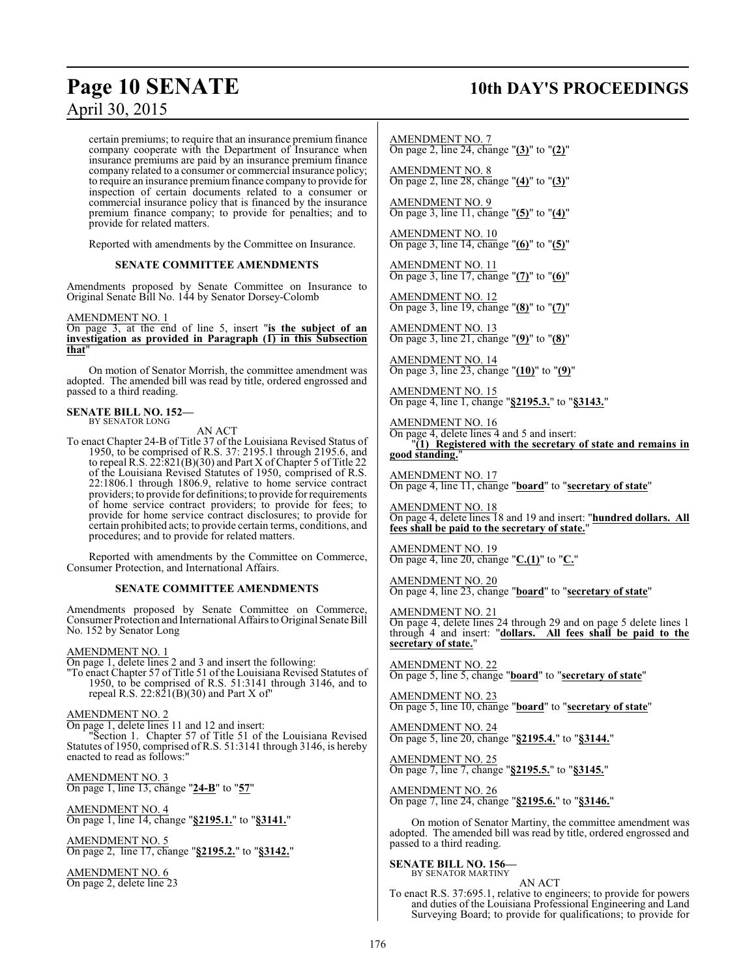## **Page 10 SENATE** 10th DAY'S PROCEEDINGS

certain premiums; to require that an insurance premium finance company cooperate with the Department of Insurance when insurance premiums are paid by an insurance premium finance company related to a consumer or commercial insurance policy; to require an insurance premium finance company to provide for inspection of certain documents related to a consumer or commercial insurance policy that is financed by the insurance premium finance company; to provide for penalties; and to provide for related matters.

Reported with amendments by the Committee on Insurance.

#### **SENATE COMMITTEE AMENDMENTS**

Amendments proposed by Senate Committee on Insurance to Original Senate Bill No. 144 by Senator Dorsey-Colomb

#### AMENDMENT NO. 1

On page 3, at the end of line 5, insert "**is the subject of an investigation as provided in Paragraph (1) in this Subsection that**"

On motion of Senator Morrish, the committee amendment was adopted. The amended bill was read by title, ordered engrossed and passed to a third reading.

#### **SENATE BILL NO. 152—** BY SENATOR LONG

AN ACT

To enact Chapter 24-B of Title 37 of the Louisiana Revised Status of 1950, to be comprised of R.S. 37: 2195.1 through 2195.6, and to repeal R.S. 22:821(B)(30) and Part X of Chapter 5 of Title 22 of the Louisiana Revised Statutes of 1950, comprised of R.S. 22:1806.1 through 1806.9, relative to home service contract providers; to provide for definitions; to provide for requirements of home service contract providers; to provide for fees; to provide for home service contract disclosures; to provide for certain prohibited acts; to provide certain terms, conditions, and procedures; and to provide for related matters.

Reported with amendments by the Committee on Commerce, Consumer Protection, and International Affairs.

#### **SENATE COMMITTEE AMENDMENTS**

Amendments proposed by Senate Committee on Commerce, Consumer Protection and International Affairs to Original Senate Bill No. 152 by Senator Long

#### AMENDMENT NO. 1

On page 1, delete lines 2 and 3 and insert the following:

"To enact Chapter 57 of Title 51 of the Louisiana Revised Statutes of 1950, to be comprised of R.S. 51:3141 through 3146, and to repeal R.S.  $22:821(B)(30)$  and Part X of"

#### AMENDMENT NO. 2

On page 1, delete lines 11 and 12 and insert:

Section 1. Chapter 57 of Title 51 of the Louisiana Revised Statutes of 1950, comprised of R.S. 51:3141 through 3146, is hereby enacted to read as follows:

AMENDMENT NO. 3 On page 1, line 13, change "**24-B**" to "**57**"

AMENDMENT NO. 4 On page 1, line 14, change "**§2195.1.**" to "**§3141.**"

AMENDMENT NO. 5 On page 2, line 17, change "**§2195.2.**" to "**§3142.**"

AMENDMENT NO. 6 On page 2, delete line 23 AMENDMENT NO. 7

On page 2, line 24, change "**(3)**" to "**(2)**"

AMENDMENT NO. 8 On page 2, line 28, change "**(4)**" to "**(3)**"

AMENDMENT NO. 9 On page 3, line 11, change "**(5)**" to "**(4)**"

AMENDMENT NO. 10 On page 3, line 14, change "**(6)**" to "**(5)**"

AMENDMENT NO. 11 On page 3, line 17, change "**(7)**" to "**(6)**"

AMENDMENT NO. 12 On page 3, line 19, change "**(8)**" to "**(7)**"

AMENDMENT NO. 13 On page 3, line 21, change "**(9)**" to "**(8)**"

AMENDMENT NO. 14 On page 3, line 23, change "**(10)**" to "**(9)**"

AMENDMENT NO. 15 On page 4, line 1, change "**§2195.3.**" to "**§3143.**"

AMENDMENT NO. 16 On page 4, delete lines 4 and 5 and insert: "**(1) Registered with the secretary of state and remains in good standing.**"

AMENDMENT NO. 17 On page 4, line 11, change "**board**" to "**secretary of state**"

AMENDMENT NO. 18 On page 4, delete lines 18 and 19 and insert: "**hundred dollars. All fees shall be paid to the secretary of state.**"

AMENDMENT NO. 19 On page 4, line 20, change "**C.(1)**" to "**C.**"

AMENDMENT NO. 20 On page 4, line 23, change "**board**" to "**secretary of state**"

#### AMENDMENT NO. 21

On page 4, delete lines 24 through 29 and on page 5 delete lines 1 through 4 and insert: "dollars. All fees shall be paid to the through 4 and insert: "dollars. **secretary of state.**"

AMENDMENT NO. 22 On page 5, line 5, change "**board**" to "**secretary of state**"

AMENDMENT NO. 23 On page 5, line 10, change "**board**" to "**secretary of state**"

AMENDMENT NO. 24 On page 5, line 20, change "**§2195.4.**" to "**§3144.**"

AMENDMENT NO. 25 On page 7, line 7, change "**§2195.5.**" to "**§3145.**"

AMENDMENT NO. 26 On page 7, line 24, change "**§2195.6.**" to "**§3146.**"

On motion of Senator Martiny, the committee amendment was adopted. The amended bill was read by title, ordered engrossed and passed to a third reading.

## **SENATE BILL NO. 156—** BY SENATOR MARTINY

AN ACT

To enact R.S. 37:695.1, relative to engineers; to provide for powers and duties of the Louisiana Professional Engineering and Land Surveying Board; to provide for qualifications; to provide for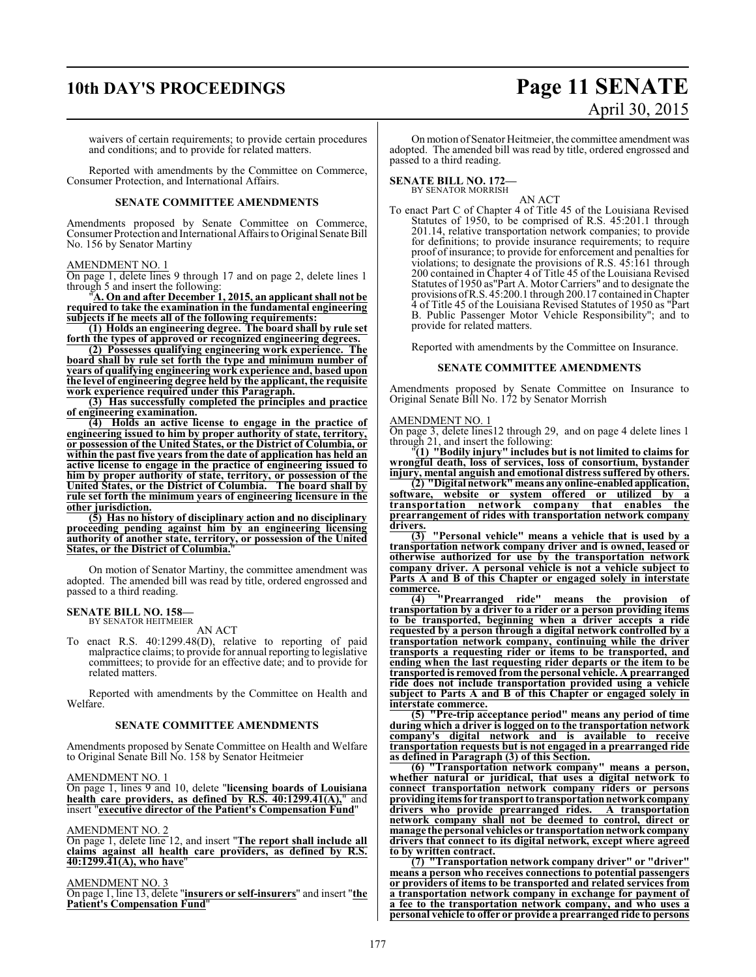## **10th DAY'S PROCEEDINGS Page 11 SENATE**

#### waivers of certain requirements; to provide certain procedures and conditions; and to provide for related matters.

Reported with amendments by the Committee on Commerce, Consumer Protection, and International Affairs.

#### **SENATE COMMITTEE AMENDMENTS**

Amendments proposed by Senate Committee on Commerce, Consumer Protection and International Affairs to Original Senate Bill No. 156 by Senator Martiny

#### AMENDMENT NO. 1

On page 1, delete lines 9 through 17 and on page 2, delete lines 1 through 5 and insert the following:

"**A. On and after December 1, 2015, an applicant shall not be required to take the examination in the fundamental engineering subjects if he meets all of the following requirements:**

**(1) Holds an engineering degree. The board shall by rule set forth the types of approved or recognized engineering degrees.**

**(2) Possesses qualifying engineering work experience. The board shall by rule set forth the type and minimum number of years of qualifying engineering work experience and, based upon the level of engineering degree held by the applicant, the requisite work experience required under this Paragraph.**

**(3) Has successfully completed the principles and practice of engineering examination.**

**(4) Holds an active license to engage in the practice of engineering issued to him by proper authority of state, territory, or possession of the United States, or the District of Columbia, or within the past five years from the date of application has held an active license to engage in the practice of engineering issued to him by proper authority of state, territory, or possession of the United States, or the District of Columbia. The board shall by rule set forth the minimum years of engineering licensure in the other jurisdiction.**

**(5) Has no history of disciplinary action and no disciplinary proceeding pending against him by an engineering licensing authority of another state, territory, or possession of the United States, or the District of Columbia.**"

On motion of Senator Martiny, the committee amendment was adopted. The amended bill was read by title, ordered engrossed and passed to a third reading.

#### **SENATE BILL NO. 158—** BY SENATOR HEITMEIER

AN ACT

To enact R.S. 40:1299.48(D), relative to reporting of paid malpractice claims; to provide for annual reporting to legislative committees; to provide for an effective date; and to provide for related matters.

Reported with amendments by the Committee on Health and Welfare.

#### **SENATE COMMITTEE AMENDMENTS**

Amendments proposed by Senate Committee on Health and Welfare to Original Senate Bill No. 158 by Senator Heitmeier

#### AMENDMENT NO. 1

On page 1, lines 9 and 10, delete "**licensing boards of Louisiana health care providers, as defined by R.S. 40:1299.41(A),**" and insert "**executive director of the Patient's Compensation Fund**"

#### AMENDMENT NO. 2

On page 1, delete line 12, and insert "**The report shall include all claims against all health care providers, as defined by R.S. 40:1299.41(A), who have**"

#### AMENDMENT NO. 3

On page 1, line 13, delete "**insurers or self-insurers**" and insert "**the Patient's Compensation Fund**"

On motion of Senator Heitmeier, the committee amendment was adopted. The amended bill was read by title, ordered engrossed and passed to a third reading.

#### **SENATE BILL NO. 172—**

BY SENATOR MORRISH

AN ACT To enact Part C of Chapter 4 of Title 45 of the Louisiana Revised Statutes of 1950, to be comprised of R.S. 45:201.1 through 201.14, relative transportation network companies; to provide for definitions; to provide insurance requirements; to require proof of insurance; to provide for enforcement and penalties for violations; to designate the provisions of R.S. 45:161 through 200 contained in Chapter 4 of Title 45 of the Louisiana Revised Statutes of 1950 as"Part A. Motor Carriers" and to designate the provisions ofR.S. 45:200.1 through 200.17 contained inChapter 4 of Title 45 of the Louisiana Revised Statutes of 1950 as "Part B. Public Passenger Motor Vehicle Responsibility"; and to provide for related matters.

Reported with amendments by the Committee on Insurance.

#### **SENATE COMMITTEE AMENDMENTS**

Amendments proposed by Senate Committee on Insurance to Original Senate Bill No. 172 by Senator Morrish

#### AMENDMENT NO. 1

On page 3, delete lines12 through 29, and on page 4 delete lines 1 through 21, and insert the following:

"**(1) "Bodily injury" includes but is not limited to claims for wrongful death, loss of services, loss of consortium, bystander injury, mental anguish and emotional distress suffered by others.**

**(2) "Digital network" means any online-enabledapplication, software, website or system offered or utilized by a transportation network company that enables the prearrangement of rides with transportation network company drivers.**

**(3) "Personal vehicle" means a vehicle that is used by a transportation network company driver and is owned, leased or otherwise authorized for use by the transportation network company driver. A personal vehicle is not a vehicle subject to Parts A and B of this Chapter or engaged solely in interstate**  $\frac{\text{commerce.}}{(4)}$ 

**(4) "Prearranged ride" means the provision of transportation by a driver to a rider or a person providing items to be transported, beginning when a driver accepts a ride requested by a person through a digital network controlled by a transportation network company, continuing while the driver transports a requesting rider or items to be transported, and ending when the last requesting rider departs or the item to be transported is removed from the personal vehicle. A prearranged ride does not include transportation provided using a vehicle subject to Parts A and B of this Chapter or engaged solely in interstate commerce.**

**(5) "Pre-trip acceptance period" means any period of time during which a driver is logged on to the transportation network company's digital network and is available to receive transportation requests but is not engaged in a prearranged ride as defined in Paragraph (3) of this Section.**

**(6) "Transportation network company" means a person, whether natural or juridical, that uses a digital network to connect transportation network company riders or persons providing itemsfor transportto transportationnetworkcompany drivers who provide prearranged rides. A transportation network company shall not be deemed to control, direct or** manage the personal vehicles or transportation network company **drivers that connect to its digital network, except where agreed to by written contract.**

**(7) "Transportation network company driver" or "driver" means a person who receives connections to potential passengers or providers of items to be transported and related services from a transportation network company in exchange for payment of a fee to the transportation network company, and who uses a personal vehicle to offer or provide a prearranged ride to persons**

# April 30, 2015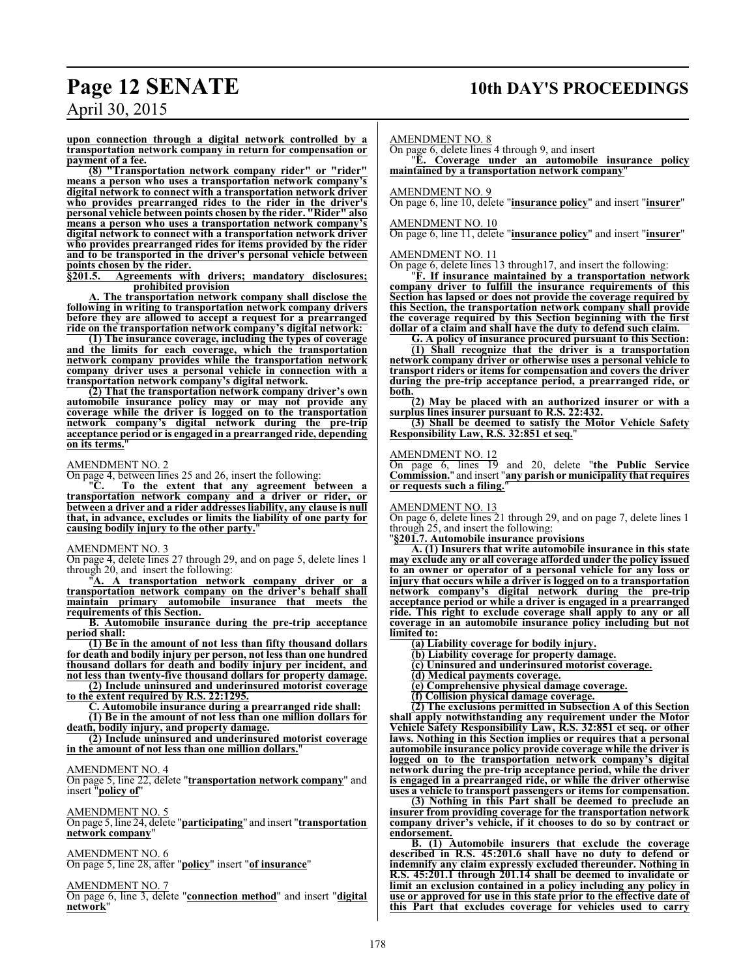## **Page 12 SENATE 10th DAY'S PROCEEDINGS**

April 30, 2015

**upon connection through a digital network controlled by a transportation network company in return for compensation or payment of a fee.**

**(8) "Transportation network company rider" or "rider" means a person who uses a transportation network company's digital network to connect with a transportation network driver who provides prearranged rides to the rider in the driver's personal vehicle between points chosen by the rider. "Rider" also means a person who uses a transportation network company's digital network to connect with a transportation network driver who provides prearranged rides for items provided by the rider and to be transported in the driver's personal vehicle between points chosen by the rider.**

**§201.5. Agreements with drivers; mandatory disclosures; prohibited provision**

**A. The transportation network company shall disclose the following in writing to transportation network company drivers before they are allowed to accept a request for a prearranged ride on the transportation network company's digital network:**

**(1) The insurance coverage, including the types of coverage and the limits for each coverage, which the transportation network company provides while the transportation network company driver uses a personal vehicle in connection with a transportation network company's digital network.**

**(2) That the transportation network company driver's own automobile insurance policy may or may not provide any coverage while the driver is logged on to the transportation network company's digital network during the pre-trip acceptance period or is engaged in a prearranged ride, depending on its terms.** 

#### AMENDMENT NO. 2

On page 4, between lines 25 and 26, insert the following:

"**C. To the extent that any agreement between a transportation network company and a driver or rider, or between a driver and a rider addresses liability, any clause is null that, in advance, excludes or limits the liability of one party for causing bodily injury to the other party.**"

#### AMENDMENT NO. 3

On page 4, delete lines 27 through 29, and on page 5, delete lines 1 through 20, and insert the following:

"**A. A transportation network company driver or a transportation network company on the driver's behalf shall maintain primary automobile insurance that meets the requirements of this Section.** 

**B. Automobile insurance during the pre-trip acceptance period shall:**

**(1) Be in the amount of not less than fifty thousand dollars for death and bodily injury per person, not less than one hundred thousand dollars for death and bodily injury per incident, and not less than twenty-five thousand dollars for property damage.**

**(2) Include uninsured and underinsured motorist coverage to the extent required by R.S. 22:1295.**

**C. Automobile insurance during a prearranged ride shall:**

**(1) Be in the amount of not less than one million dollars for death, bodily injury, and property damage.**

**(2) Include uninsured and underinsured motorist coverage in the amount of not less than one million dollars.**"

### AMENDMENT NO. 4

On page 5, line 22, delete "**transportation network company**" and insert "**policy of**"

### AMENDMENT NO. 5

On page 5, line 24, delete "**participating**" and insert "**transportation network company**"

## AMENDMENT NO. 6

On page 5, line 28, after "**policy**" insert "**of insurance**"

#### AMENDMENT NO. 7

On page 6, line 3, delete "**connection method**" and insert "**digital network**"

AMENDMENT NO. 8

On page 6, delete lines 4 through 9, and insert

"**E. Coverage under an automobile insurance policy maintained by a transportation network company**"

#### AMENDMENT NO. 9

On page 6, line 10, delete "**insurance policy**" and insert "**insurer**"

#### AMENDMENT NO. 10

On page 6, line 11, delete "**insurance policy**" and insert "**insurer**"

#### AMENDMENT NO. 11

On page 6, delete lines 13 through17, and insert the following:

"**F. If insurance maintained by a transportation network company driver to fulfill the insurance requirements of this Section has lapsed or does not provide the coverage required by this Section, the transportation network company shall provide the coverage required by this Section beginning with the first dollar of a claim and shall have the duty to defend such claim.**

**G. A policy of insurance procured pursuant to this Section:**

**(1) Shall recognize that the driver is a transportation network company driver or otherwise uses a personal vehicle to transport riders or items for compensation and covers the driver during the pre-trip acceptance period, a prearranged ride, or both.**

**(2) May be placed with an authorized insurer or with a surplus lines insurer pursuant to R.S. 22:432.**

**(3) Shall be deemed to satisfy the Motor Vehicle Safety Responsibility Law, R.S. 32:851 et seq.**"

#### AMENDMENT NO. 12

On page 6, lines 19 and 20, delete "**the Public Service Commission.**" and insert "**any parish or municipality that requires or requests such a filing.**"

#### AMENDMENT NO. 13

On page 6, delete lines 21 through 29, and on page 7, delete lines 1 through 25, and insert the following:

"**§201.7. Automobile insurance provisions**

**A. (1) Insurers that write automobile insurance in this state may exclude any or all coverage afforded under the policy issued to an owner or operator of a personal vehicle for any loss or injury that occurs while a driver is logged on to a transportation network company's digital network during the pre-trip acceptance period or while a driver is engaged in a prearranged ride. This right to exclude coverage shall apply to any or all coverage in an automobile insurance policy including but not limited to:**

- **(a) Liability coverage for bodily injury.**
- **(b) Liability coverage for property damage.**
- **(c) Uninsured and underinsured motorist coverage.**
- **(d) Medical payments coverage.**
- **(e) Comprehensive physical damage coverage.**
- **(f) Collision physical damage coverage.**

**(2) The exclusions permitted in Subsection A of this Section shall apply notwithstanding any requirement under the Motor Vehicle Safety Responsibility Law, R.S. 32:851 et seq. or other laws. Nothing in this Section implies or requires that a personal automobile insurance policy provide coverage while the driver is logged on to the transportation network company's digital network during the pre-trip acceptance period, while the driver is engaged in a prearranged ride, or while the driver otherwise uses a vehicle to transport passengers or items for compensation.**

**(3) Nothing in this Part shall be deemed to preclude an insurer from providing coverage for the transportation network company driver's vehicle, if it chooses to do so by contract or endorsement.**

**B. (1) Automobile insurers that exclude the coverage described in R.S. 45:201.6 shall have no duty to defend or indemnify any claim expressly excluded thereunder. Nothing in R.S. 45:201.1 through 201.14 shall be deemed to invalidate or limit an exclusion contained in a policy including any policy in use or approved for use in this state prior to the effective date of this Part that excludes coverage for vehicles used to carry**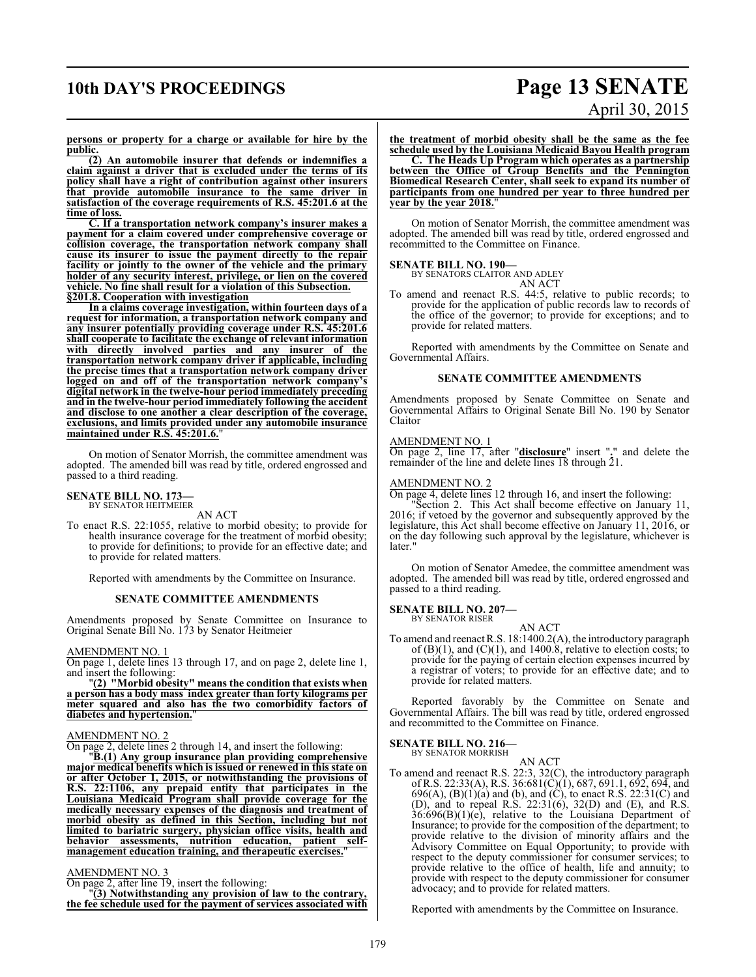# **10th DAY'S PROCEEDINGS Page 13 SENATE** April 30, 2015

**persons or property for a charge or available for hire by the public.**

**(2) An automobile insurer that defends or indemnifies a claim against a driver that is excluded under the terms of its policy shall have a right of contribution against other insurers that provide automobile insurance to the same driver in satisfaction of the coverage requirements of R.S. 45:201.6 at the time of loss.**

**C. If a transportation network company's insurer makes a payment for a claim covered under comprehensive coverage or collision coverage, the transportation network company shall cause its insurer to issue the payment directly to the repair facility or jointly to the owner of the vehicle and the primary holder of any security interest, privilege, or lien on the covered vehicle. No fine shall result for a violation of this Subsection. §201.8. Cooperation with investigation**

**In a claims coverage investigation, within fourteen days of a request for information, a transportation network company and any insurer potentially providing coverage under R.S. 45:201.6 shall cooperate to facilitate the exchange of relevant information with directly involved parties and any insurer of the transportation network company driver if applicable, including the precise times that a transportation network company driver logged on and off of the transportation network company's digital network in the twelve-hour period immediately preceding and in the twelve-hour period immediately following the accident and disclose to one another a clear description of the coverage, exclusions, and limits provided under any automobile insurance** maintained under R.S. 45:201.6.

On motion of Senator Morrish, the committee amendment was adopted. The amended bill was read by title, ordered engrossed and passed to a third reading.

## **SENATE BILL NO. 173—** BY SENATOR HEITMEIER

AN ACT

To enact R.S. 22:1055, relative to morbid obesity; to provide for health insurance coverage for the treatment of morbid obesity; to provide for definitions; to provide for an effective date; and to provide for related matters.

Reported with amendments by the Committee on Insurance.

#### **SENATE COMMITTEE AMENDMENTS**

Amendments proposed by Senate Committee on Insurance to Original Senate Bill No. 173 by Senator Heitmeier

#### AMENDMENT NO. 1

On page 1, delete lines 13 through 17, and on page 2, delete line 1, and insert the following:

"**(2) "Morbid obesity" means the condition that exists when a person has a body mass index greater than forty kilograms per meter squared and also has the two comorbidity factors of diabetes and hypertension.**"

#### AMENDMENT NO. 2

On page 2, delete lines 2 through 14, and insert the following:

"**B.(1) Any group insurance plan providing comprehensive major medical benefits which is issued or renewed in this state on or after October 1, 2015, or notwithstanding the provisions of R.S. 22:1106, any prepaid entity that participates in the Louisiana Medicaid Program shall provide coverage for the medically necessary expenses of the diagnosis and treatment of morbid obesity as defined in this Section, including but not limited to bariatric surgery, physician office visits, health and behavior assessments, nutrition education, patient selfmanagement education training, and therapeutic exercises.**"

#### AMENDMENT NO. 3

On page 2, after line 19, insert the following:

"**(3) Notwithstanding any provision of law to the contrary, the fee schedule used for the payment of services associated with**

**the treatment of morbid obesity shall be the same as the fee schedule used by the Louisiana Medicaid Bayou Health program**

**C. The Heads Up Program which operates as a partnership between the Office of Group Benefits and the Pennington Biomedical Research Center, shall seek to expand its number of participants from one hundred per year to three hundred per year by the year 2018.**"

On motion of Senator Morrish, the committee amendment was adopted. The amended bill was read by title, ordered engrossed and recommitted to the Committee on Finance.

#### **SENATE BILL NO. 190—**

BY SENATORS CLAITOR AND ADLEY AN ACT

To amend and reenact R.S. 44:5, relative to public records; to provide for the application of public records law to records of the office of the governor; to provide for exceptions; and to provide for related matters.

Reported with amendments by the Committee on Senate and Governmental Affairs.

#### **SENATE COMMITTEE AMENDMENTS**

Amendments proposed by Senate Committee on Senate and Governmental Affairs to Original Senate Bill No. 190 by Senator Claitor

#### AMENDMENT NO. 1

On page 2, line 17, after "**disclosure**" insert "**.**" and delete the remainder of the line and delete lines 18 through 21.

#### AMENDMENT NO. 2

On page 4, delete lines 12 through 16, and insert the following: "Section 2. This Act shall become effective on January 11, 2016; if vetoed by the governor and subsequently approved by the legislature, this Act shall become effective on January 11, 2016, or on the day following such approval by the legislature, whichever is later.'

On motion of Senator Amedee, the committee amendment was adopted. The amended bill was read by title, ordered engrossed and passed to a third reading.

#### **SENATE BILL NO. 207—** BY SENATOR RISER

AN ACT

To amend and reenact R.S. 18:1400.2(A), the introductory paragraph of  $(B)(1)$ , and  $(C)(1)$ , and 1400.8, relative to election costs; to provide for the paying of certain election expenses incurred by a registrar of voters; to provide for an effective date; and to provide for related matters.

Reported favorably by the Committee on Senate and Governmental Affairs. The bill was read by title, ordered engrossed and recommitted to the Committee on Finance.

## **SENATE BILL NO. 216—** BY SENATOR MORRISH

AN ACT To amend and reenact R.S. 22:3, 32(C), the introductory paragraph of R.S. 22:33(A), R.S. 36:681(C)(1), 687, 691.1, 692, 694, and 696(A),  $(B)(1)(a)$  and  $(b)$ , and  $(C)$ , to enact R.S. 22:31(C) and (D), and to repeal R.S. 22:31(6), 32(D) and (E), and R.S.  $36:696(B)(1)(e)$ , relative to the Louisiana Department of Insurance; to provide for the composition of the department; to provide relative to the division of minority affairs and the Advisory Committee on Equal Opportunity; to provide with respect to the deputy commissioner for consumer services; to provide relative to the office of health, life and annuity; to provide with respect to the deputy commissioner for consumer advocacy; and to provide for related matters.

Reported with amendments by the Committee on Insurance.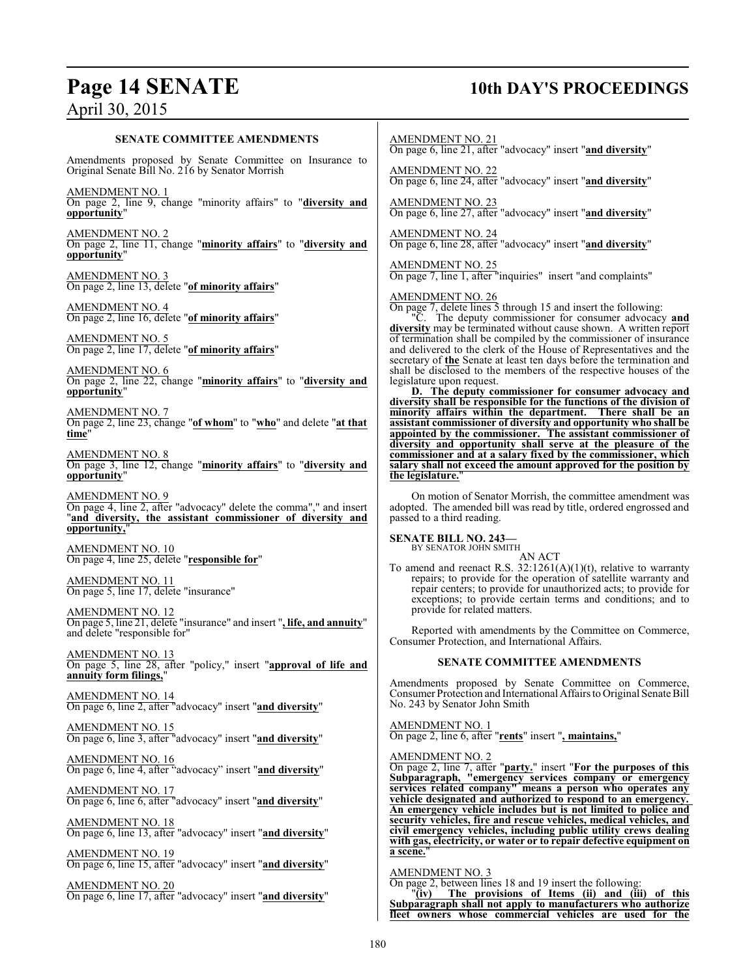## **Page 14 SENATE 10th DAY'S PROCEEDINGS**

#### **SENATE COMMITTEE AMENDMENTS**

Amendments proposed by Senate Committee on Insurance to Original Senate Bill No. 216 by Senator Morrish

AMENDMENT NO. 1 On page 2, line 9, change "minority affairs" to "**diversity and opportunity**"

AMENDMENT NO. 2 On page 2, line 11, change "**minority affairs**" to "**diversity and opportunity**"

AMENDMENT NO. 3 On page 2, line 13, delete "**of minority affairs**"

AMENDMENT NO. 4 On page 2, line 16, delete "**of minority affairs**"

AMENDMENT NO. 5 On page 2, line 17, delete "**of minority affairs**"

AMENDMENT NO. 6 On page 2, line 22, change "**minority affairs**" to "**diversity and opportunity**"

AMENDMENT NO. 7 On page 2, line 23, change "**of whom**" to "**who**" and delete "**at that time**"

AMENDMENT NO. 8 On page 3, line 12, change "**minority affairs**" to "**diversity and opportunity**"

AMENDMENT NO. 9 On page 4, line 2, after "advocacy" delete the comma"," and insert "**and diversity, the assistant commissioner of diversity and opportunity,**"

AMENDMENT NO. 10 On page 4, line 25, delete "**responsible for**"

AMENDMENT NO. 11 On page 5, line 17, delete "insurance"

AMENDMENT NO. 12 On page 5, line 21, delete "insurance" and insert "**, life, and annuity**" and delete "responsible for"

AMENDMENT NO. 13 On page 5, line 28, after "policy," insert "**approval of life and annuity form filings,**"

AMENDMENT NO. 14 On page 6, line 2, after "advocacy" insert "**and diversity**"

AMENDMENT NO. 15 On page 6, line 3, after "advocacy" insert "**and diversity**"

AMENDMENT NO. 16 On page 6, line 4, after "advocacy" insert "**and diversity**"

AMENDMENT NO. 17 On page 6, line 6, after "advocacy" insert "**and diversity**"

AMENDMENT NO. 18 On page 6, line 13, after "advocacy" insert "**and diversity**"

AMENDMENT NO. 19 On page 6, line 15, after "advocacy" insert "**and diversity**"

AMENDMENT NO. 20 On page 6, line 17, after "advocacy" insert "**and diversity**"

#### AMENDMENT NO. 21

On page 6, line 21, after "advocacy" insert "**and diversity**"

AMENDMENT NO. 22

On page 6, line 24, after "advocacy" insert "**and diversity**"

AMENDMENT NO. 23 On page 6, line 27, after "advocacy" insert "**and diversity**"

AMENDMENT NO. 24 On page 6, line 28, after "advocacy" insert "**and diversity**"

AMENDMENT NO. 25 On page 7, line 1, after "inquiries" insert "and complaints"

AMENDMENT NO. 26

On page 7, delete lines 5 through 15 and insert the following:

"C. The deputy commissioner for consumer advocacy **and diversity** may be terminated without cause shown. A written report of termination shall be compiled by the commissioner of insurance and delivered to the clerk of the House of Representatives and the secretary of **the** Senate at least ten days before the termination and shall be disclosed to the members of the respective houses of the legislature upon request.

**D. The deputy commissioner for consumer advocacy and diversity shall be responsible for the functions of the division of minority affairs within the department. There shall be an assistant commissioner of diversity and opportunity who shall be appointed by the commissioner. The assistant commissioner of diversity and opportunity shall serve at the pleasure of the commissioner and at a salary fixed by the commissioner, which salary shall not exceed the amount approved for the position by the legislature.** 

On motion of Senator Morrish, the committee amendment was adopted. The amended bill was read by title, ordered engrossed and passed to a third reading.

## **SENATE BILL NO. 243—** BY SENATOR JOHN SMITH

AN ACT To amend and reenact R.S.  $32:1261(A)(1)(t)$ , relative to warranty repairs; to provide for the operation of satellite warranty and repair centers; to provide for unauthorized acts; to provide for exceptions; to provide certain terms and conditions; and to provide for related matters.

Reported with amendments by the Committee on Commerce, Consumer Protection, and International Affairs.

#### **SENATE COMMITTEE AMENDMENTS**

Amendments proposed by Senate Committee on Commerce, Consumer Protection and International Affairs to Original Senate Bill No. 243 by Senator John Smith

AMENDMENT NO. 1

On page 2, line 6, after "**rents**" insert "**, maintains,**"

AMENDMENT NO. 2

On page 2, line 7, after "**party.**" insert "**For the purposes of this Subparagraph, "emergency services company or emergency services related company" means a person who operates any vehicle designated and authorized to respond to an emergency. An emergency vehicle includes but is not limited to police and security vehicles, fire and rescue vehicles, medical vehicles, and civil emergency vehicles, including public utility crews dealing with gas, electricity, or water or to repair defective equipment on** a scene.

AMENDMENT NO. 3

On page 2, between lines 18 and 19 insert the following:<br>" $(iy)$  The provisions of Items (ii) and (iii) The provisions of Items (ii) and (iii) of this **Subparagraph shall not apply to manufacturers who authorize fleet owners whose commercial vehicles are used for the**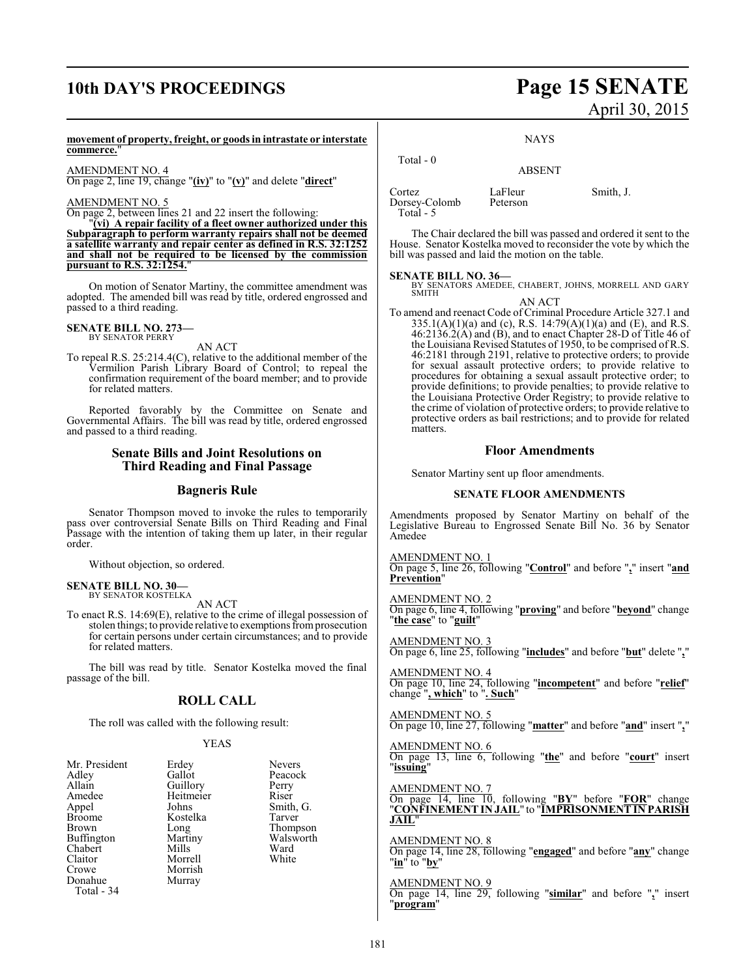## **10th DAY'S PROCEEDINGS Page 15 SENATE**

# April 30, 2015

#### **movement of property, freight, or goods in intrastate or interstate commerce.**"

AMENDMENT NO. 4

On page 2, line 19, change "**(iv)**" to "**(v)**" and delete "**direct**"

#### AMENDMENT NO. 5

On page 2, between lines 21 and 22 insert the following:

"**(vi) A repair facility of a fleet owner authorized under this Subparagraph to perform warranty repairs shall not be deemed a satellite warranty and repair center as defined in R.S. 32:1252 and shall not be required to be licensed by the commission pursuant to R.S. 32:1254.**"

On motion of Senator Martiny, the committee amendment was adopted. The amended bill was read by title, ordered engrossed and passed to a third reading.

#### **SENATE BILL NO. 273—** BY SENATOR PERRY

AN ACT

To repeal R.S. 25:214.4(C), relative to the additional member of the Vermilion Parish Library Board of Control; to repeal the confirmation requirement of the board member; and to provide for related matters.

Reported favorably by the Committee on Senate and Governmental Affairs. The bill was read by title, ordered engrossed and passed to a third reading.

#### **Senate Bills and Joint Resolutions on Third Reading and Final Passage**

#### **Bagneris Rule**

Senator Thompson moved to invoke the rules to temporarily pass over controversial Senate Bills on Third Reading and Final Passage with the intention of taking them up later, in their regular order.

Without objection, so ordered.

#### **SENATE BILL NO. 30—** BY SENATOR KOSTELKA

AN ACT

To enact R.S. 14:69(E), relative to the crime of illegal possession of stolen things; to provide relative to exemptions from prosecution for certain persons under certain circumstances; and to provide for related matters.

The bill was read by title. Senator Kostelka moved the final passage of the bill.

#### **ROLL CALL**

The roll was called with the following result:

#### YEAS

| Mr. President | Erdey     | <b>Nevers</b> |
|---------------|-----------|---------------|
| Adley         | Gallot    | Peacock       |
| Allain        | Guillory  | Perry         |
| Amedee        | Heitmeier | Riser         |
| Appel         | Johns     | Smith, G.     |
| <b>Broome</b> | Kostelka  | Tarver        |
| Brown         | Long      | Thompson      |
| Buffington    | Martiny   | Walsworth     |
| Chabert       | Mills     | Ward          |
| Claitor       | Morrell   | White         |
| Crowe         | Morrish   |               |
| Donahue       | Murray    |               |
| Total - 34    |           |               |
|               |           |               |

|--|--|--|--|--|

| Total $-0$                           | <b>ABSENT</b>       |           |
|--------------------------------------|---------------------|-----------|
| Cortez<br>Dorsey-Colomb<br>Total - 5 | LaFleur<br>Peterson | Smith, J. |

The Chair declared the bill was passed and ordered it sent to the House. Senator Kostelka moved to reconsider the vote by which the bill was passed and laid the motion on the table.

**SENATE BILL NO. 36—** BY SENATORS AMEDEE, CHABERT, JOHNS, MORRELL AND GARY **SMITH** AN ACT

To amend and reenact Code of Criminal Procedure Article 327.1 and  $335.1(A)(1)(a)$  and (c), R.S.  $14:79(A)(1)(a)$  and (E), and R.S. 46:2136.2(A) and (B), and to enact Chapter 28-D of Title 46 of the Louisiana Revised Statutes of 1950, to be comprised of R.S. 46:2181 through 2191, relative to protective orders; to provide for sexual assault protective orders; to provide relative to procedures for obtaining a sexual assault protective order; to provide definitions; to provide penalties; to provide relative to the Louisiana Protective Order Registry; to provide relative to the crime of violation of protective orders; to provide relative to protective orders as bail restrictions; and to provide for related matters.

#### **Floor Amendments**

Senator Martiny sent up floor amendments.

#### **SENATE FLOOR AMENDMENTS**

Amendments proposed by Senator Martiny on behalf of the Legislative Bureau to Engrossed Senate Bill No. 36 by Senator Amedee

AMENDMENT NO. 1

On page 5, line 26, following "**Control**" and before "**,**" insert "**and Prevention**"

#### AMENDMENT NO. 2

On page 6, line 4, following "**proving**" and before "**beyond**" change "**the case**" to "**guilt**"

AMENDMENT NO. 3 On page 6, line 25, following "**includes**" and before "**but**" delete "**,**"

AMENDMENT NO. 4 On page 10, line 24, following "**incompetent**" and before "**relief**" change "**, which**" to "**. Such**"

AMENDMENT NO. 5 On page 10, line 27, following "**matter**" and before "**and**" insert "**,**"

AMENDMENT NO. 6 On page 13, line 6, following "**the**" and before "**court**" insert "**issuing**"

AMENDMENT NO. 7

On page 14, line 10, following "**BY**" before "**FOR**" change "**CONFINEMENT IN JAIL**" to "**IMPRISONMENT IN PARISH JAIL**"

AMENDMENT NO. 8 On page 14, line 28, following "**engaged**" and before "**any**" change "**in**" to "**by**"

#### AMENDMENT NO. 9

On page 14, line 29, following "**similar**" and before "**,**" insert "**program**"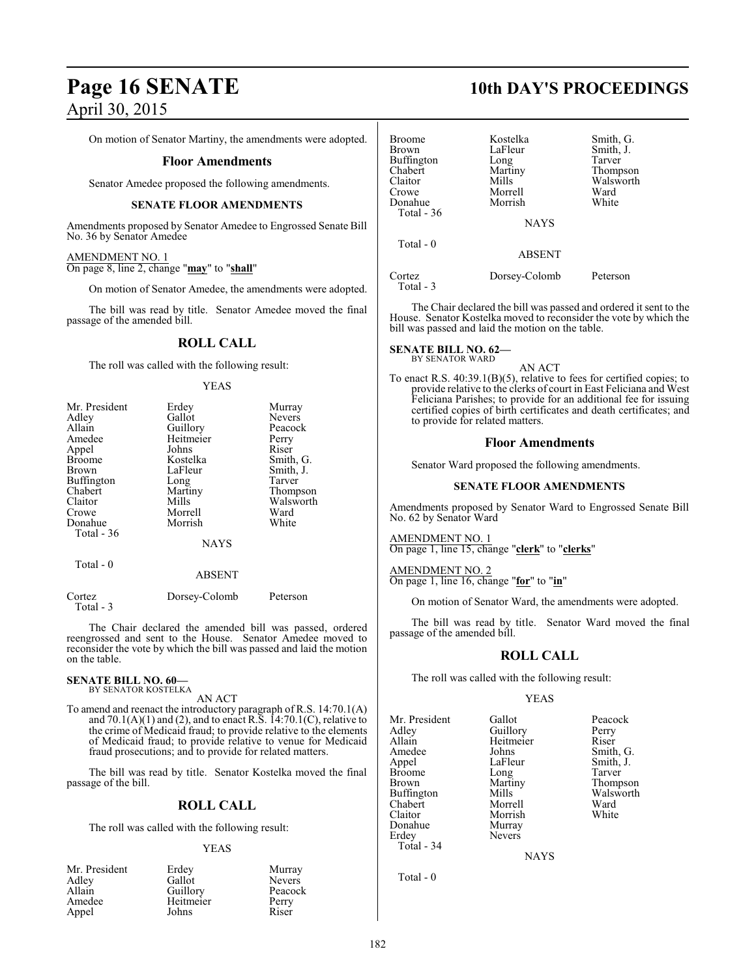# **Page 16 SENATE 10th DAY'S PROCEEDINGS** April 30, 2015

On motion of Senator Martiny, the amendments were adopted.

#### **Floor Amendments**

Senator Amedee proposed the following amendments.

#### **SENATE FLOOR AMENDMENTS**

Amendments proposed by Senator Amedee to Engrossed Senate Bill No. 36 by Senator Amedee

#### AMENDMENT NO. 1

On page 8, line 2, change "**may**" to "**shall**"

On motion of Senator Amedee, the amendments were adopted.

The bill was read by title. Senator Amedee moved the final passage of the amended bill.

#### **ROLL CALL**

The roll was called with the following result:

#### YEAS

| Mr. President | Erdey       | Murray        |
|---------------|-------------|---------------|
| Adley         | Gallot      | <b>Nevers</b> |
| Allain        | Guillory    | Peacock       |
| Amedee        | Heitmeier   | Perry         |
| Appel         | Johns       | Riser         |
| <b>Broome</b> | Kostelka    | Smith, G.     |
| Brown         | LaFleur     | Smith, J.     |
| Buffington    | Long        | Tarver        |
| Chabert       | Martiny     | Thompson      |
| Claitor       | Mills       | Walsworth     |
| Crowe         | Morrell     | Ward          |
| Donahue       | Morrish     | White         |
| Total - 36    |             |               |
|               | <b>NAYS</b> |               |
| Total - 0     |             |               |
|               | ABSENT      |               |

| Cortez    | Dorsey-Colomb | Peterson |
|-----------|---------------|----------|
| Total - 3 |               |          |

The Chair declared the amended bill was passed, ordered reengrossed and sent to the House. Senator Amedee moved to reconsider the vote by which the bill was passed and laid the motion on the table.

#### **SENATE BILL NO. 60—** BY SENATOR KOSTELKA

AN ACT

To amend and reenact the introductory paragraph of R.S. 14:70.1(A) and  $70.1(A)(1)$  and (2), and to enact R.S.  $14:70.1(C)$ , relative to the crime of Medicaid fraud; to provide relative to the elements of Medicaid fraud; to provide relative to venue for Medicaid fraud prosecutions; and to provide for related matters.

The bill was read by title. Senator Kostelka moved the final passage of the bill.

#### **ROLL CALL**

The roll was called with the following result:

#### YEAS

| Mr. President | Erdey     | Murray        |
|---------------|-----------|---------------|
| Adley         | Gallot    | <b>Nevers</b> |
| Allain        | Guillory  | Peacock       |
| Amedee        | Heitmeier | Perry         |
| Appel         | Johns     | Riser         |

| <b>Broome</b><br><b>Brown</b><br><b>Buffington</b><br>Chabert<br>Claitor<br>Crowe<br>Donahue | Kostelka<br>LaFleur<br>Long<br>Martiny<br>Mills<br>Morrell<br>Morrish | Smith, G.<br>Smith, J.<br>Tarver<br>Thompson<br>Walsworth<br>Ward<br>White |
|----------------------------------------------------------------------------------------------|-----------------------------------------------------------------------|----------------------------------------------------------------------------|
| Total - 36                                                                                   | <b>NAYS</b>                                                           |                                                                            |
| Total $-0$                                                                                   | <b>ABSENT</b>                                                         |                                                                            |
| Cortez<br>Total - 3                                                                          | Dorsey-Colomb                                                         | Peterson                                                                   |

The Chair declared the bill was passed and ordered it sent to the House. Senator Kostelka moved to reconsider the vote by which the bill was passed and laid the motion on the table.

## **SENATE BILL NO. 62—**<br>BY SENATOR WARD

AN ACT

To enact R.S. 40:39.1(B)(5), relative to fees for certified copies; to provide relative to the clerks of court in East Feliciana and West Feliciana Parishes; to provide for an additional fee for issuing certified copies of birth certificates and death certificates; and to provide for related matters.

#### **Floor Amendments**

Senator Ward proposed the following amendments.

#### **SENATE FLOOR AMENDMENTS**

Amendments proposed by Senator Ward to Engrossed Senate Bill No. 62 by Senator Ward

AMENDMENT NO. 1 On page 1, line 15, change "**clerk**" to "**clerks**"

AMENDMENT NO. 2 On page 1, line 16, change "**for**" to "**in**"

On motion of Senator Ward, the amendments were adopted.

The bill was read by title. Senator Ward moved the final passage of the amended bill.

#### **ROLL CALL**

The roll was called with the following result:

#### YEAS

Mr. President Gallot Peacock<br>Adley Guillory Perry Adley Guillory Perry Allain Heitmeier<br>Amedee Johns Amedee Johns Smith, G.<br>
Appel LaFleur Smith, J. Appel LaFleur Smith, J.<br>Broome Long Tarver Broome Long<br>Brown Martiny Buffington Mills Walsworth Mills<br>Chabert Morrell Ward Chabert Morrell Ward Claitor Morrish<br>
Donahue Murray Donahue Murray<br>Erdey Nevers Total - 34

Total - 0

Nevers

Martiny Thompson<br>Mills Walsworth

NAYS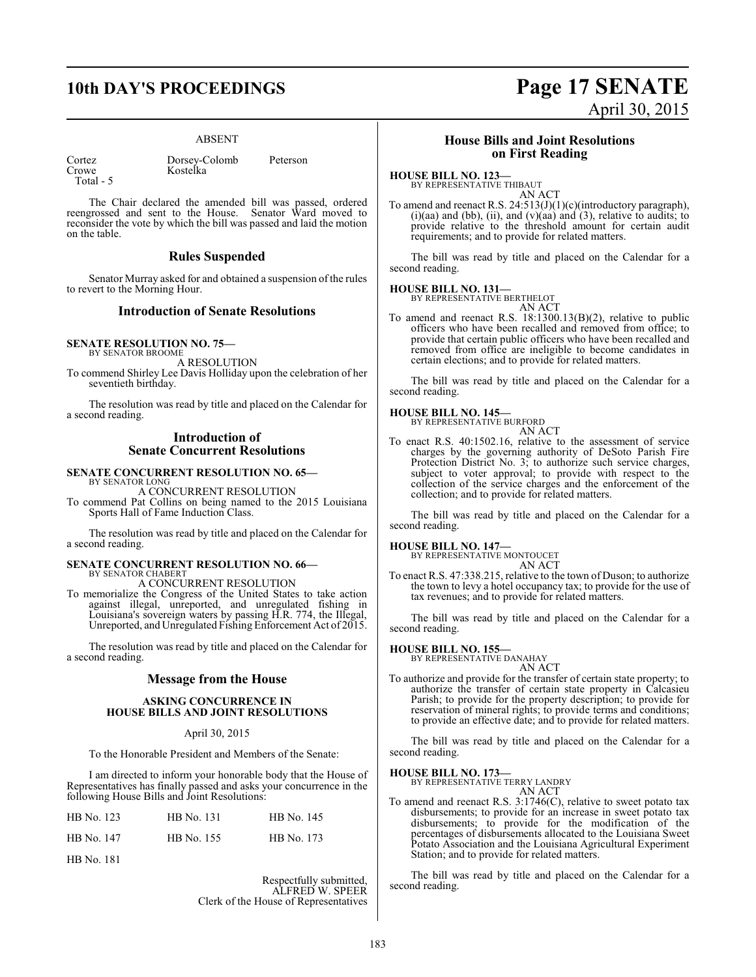## **10th DAY'S PROCEEDINGS Page 17 SENATE**

#### ABSENT

| Cortez |     |  |
|--------|-----|--|
| Crowe  |     |  |
| Total  | - 5 |  |

Dorsey-Colomb Peterson Kostelka

The Chair declared the amended bill was passed, ordered reengrossed and sent to the House. Senator Ward moved to reconsider the vote by which the bill was passed and laid the motion on the table.

#### **Rules Suspended**

Senator Murray asked for and obtained a suspension of the rules to revert to the Morning Hour.

#### **Introduction of Senate Resolutions**

#### **SENATE RESOLUTION NO. 75—**

BY SENATOR BROOME A RESOLUTION

To commend Shirley Lee Davis Holliday upon the celebration of her seventieth birthday.

The resolution was read by title and placed on the Calendar for a second reading.

#### **Introduction of Senate Concurrent Resolutions**

## **SENATE CONCURRENT RESOLUTION NO. 65—** BY SENATOR LONG

A CONCURRENT RESOLUTION

To commend Pat Collins on being named to the 2015 Louisiana Sports Hall of Fame Induction Class.

The resolution was read by title and placed on the Calendar for a second reading.

#### **SENATE CONCURRENT RESOLUTION NO. 66—** BY SENATOR CHABERT

A CONCURRENT RESOLUTION

To memorialize the Congress of the United States to take action against illegal, unreported, and unregulated fishing in Louisiana's sovereign waters by passing H.R. 774, the Illegal, Unreported, and Unregulated Fishing Enforcement Act of 2015.

The resolution was read by title and placed on the Calendar for a second reading.

#### **Message from the House**

#### **ASKING CONCURRENCE IN HOUSE BILLS AND JOINT RESOLUTIONS**

#### April 30, 2015

To the Honorable President and Members of the Senate:

I am directed to inform your honorable body that the House of Representatives has finally passed and asks your concurrence in the following House Bills and Joint Resolutions:

| HB No. 123 | HB No. 131 | HB No. 145 |
|------------|------------|------------|
| HB No. 147 | HB No. 155 | HB No. 173 |

HB No. 181

Respectfully submitted, ALFRED W. SPEER Clerk of the House of Representatives

# April 30, 2015

#### **House Bills and Joint Resolutions on First Reading**

### **HOUSE BILL NO. 123—**

BY REPRESENTATIVE THIBAUT AN ACT

To amend and reenact R.S. 24:513(J)(1)(c)(introductory paragraph), (i)(aa) and (bb), (ii), and (v)(aa) and (3), relative to audits; to provide relative to the threshold amount for certain audit requirements; and to provide for related matters.

The bill was read by title and placed on the Calendar for a second reading.

#### **HOUSE BILL NO. 131—**

BY REPRESENTATIVE BERTHELOT AN ACT

To amend and reenact R.S. 18:1300.13(B)(2), relative to public officers who have been recalled and removed from office; to provide that certain public officers who have been recalled and removed from office are ineligible to become candidates in certain elections; and to provide for related matters.

The bill was read by title and placed on the Calendar for a second reading.

# **HOUSE BILL NO. 145—** BY REPRESENTATIVE BURFORD

AN ACT

To enact R.S. 40:1502.16, relative to the assessment of service charges by the governing authority of DeSoto Parish Fire Protection District No. 3; to authorize such service charges, subject to voter approval; to provide with respect to the collection of the service charges and the enforcement of the collection; and to provide for related matters.

The bill was read by title and placed on the Calendar for a second reading.

#### **HOUSE BILL NO. 147—**

BY REPRESENTATIVE MONTOUCET AN ACT

To enact R.S. 47:338.215, relative to the town of Duson; to authorize the town to levy a hotel occupancy tax; to provide for the use of tax revenues; and to provide for related matters.

The bill was read by title and placed on the Calendar for a second reading.

# **HOUSE BILL NO. 155—** BY REPRESENTATIVE DANAHAY

AN ACT

To authorize and provide for the transfer of certain state property; to authorize the transfer of certain state property in Calcasieu Parish; to provide for the property description; to provide for reservation of mineral rights; to provide terms and conditions; to provide an effective date; and to provide for related matters.

The bill was read by title and placed on the Calendar for a second reading.

#### **HOUSE BILL NO. 173—**

BY REPRESENTATIVE TERRY LANDRY AN ACT

To amend and reenact R.S. 3:1746(C), relative to sweet potato tax disbursements; to provide for an increase in sweet potato tax disbursements; to provide for the modification of the percentages of disbursements allocated to the Louisiana Sweet Potato Association and the Louisiana Agricultural Experiment Station; and to provide for related matters.

The bill was read by title and placed on the Calendar for a second reading.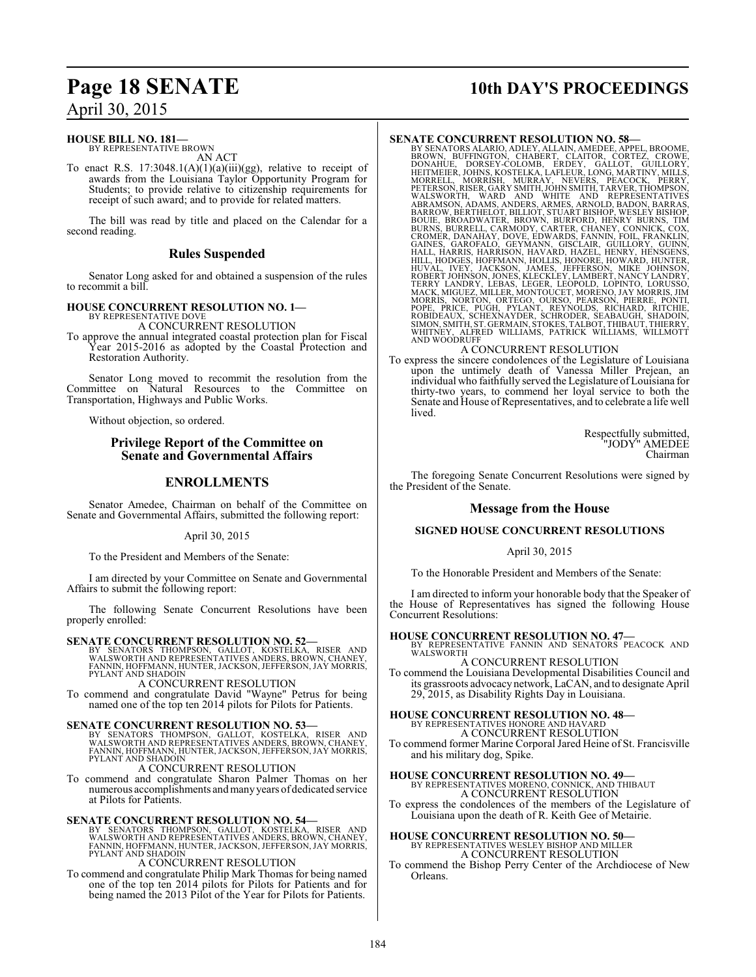#### **HOUSE BILL NO. 181—**

BY REPRESENTATIVE BROWN AN ACT

To enact R.S. 17:3048.1(A)(1)(a)(iii)(gg), relative to receipt of awards from the Louisiana Taylor Opportunity Program for Students; to provide relative to citizenship requirements for receipt of such award; and to provide for related matters.

The bill was read by title and placed on the Calendar for a second reading.

### **Rules Suspended**

Senator Long asked for and obtained a suspension of the rules to recommit a bill.

**HOUSE CONCURRENT RESOLUTION NO. 1—** BY REPRESENTATIVE DOVE

A CONCURRENT RESOLUTION

To approve the annual integrated coastal protection plan for Fiscal Year 2015-2016 as adopted by the Coastal Protection and Restoration Authority.

Senator Long moved to recommit the resolution from the Committee on Natural Resources to the Committee on Transportation, Highways and Public Works.

Without objection, so ordered.

### **Privilege Report of the Committee on Senate and Governmental Affairs**

### **ENROLLMENTS**

Senator Amedee, Chairman on behalf of the Committee on Senate and Governmental Affairs, submitted the following report:

April 30, 2015

To the President and Members of the Senate:

I am directed by your Committee on Senate and Governmental Affairs to submit the following report:

The following Senate Concurrent Resolutions have been properly enrolled:

**SENATE CONCURRENT RESOLUTION NO. 52—**<br>BY SENATORS THOMPSON, GALLOT, KOSTELKA, RISER AND<br>WALSWORTH AND REPRESENTATIVES ANDERS, BROWN, CHANEY,<br>FANNIN, HOFFMANN, HUNTER, JACKSON, JEFFERSON, JAY MORRIS,<br>PYLANT AND SHADOIN

A CONCURRENT RESOLUTION

To commend and congratulate David "Wayne" Petrus for being named one of the top ten 2014 pilots for Pilots for Patients.

#### **SENATE CONCURRENT RESOLUTION NO. 53**

BY SENATORS THOMPSON, GALLOT, KOSTELKA, RISER AND WALSWORTH AND REPRESENTATIVES ANDERS, BROWN, CHANEY, FANNIN, HOFFMANN, HUNTER, JACKSON, JEFFERSON, JAY MORRIS, PYLANT AND SHADOIN

A CONCURRENT RESOLUTION

To commend and congratulate Sharon Palmer Thomas on her numerous accomplishments andmany years of dedicated service at Pilots for Patients.

#### **SENATE CONCURRENT RESOLUTION NO. 54—**

BY SENATORS THOMPSON, GALLOT, KOSTELKA, RISER AND<br>WALSWORTHAND REPRESENTATIVES ANDERS,BROWN,CHANEY,<br>FANNIN,HOFFMANN,HUNTER,JACKSON,JEFFERSON,JAY MORRIS,<br>PYLANT AND SHADOIN

A CONCURRENT RESOLUTION

To commend and congratulate Philip Mark Thomas for being named one of the top ten 2014 pilots for Pilots for Patients and for being named the 2013 Pilot of the Year for Pilots for Patients.

## **Page 18 SENATE 10th DAY'S PROCEEDINGS**

**SENATE CONCURRENT RESOLUTION NO. 58**<br>BY SENATORS ALARIO, ADLEY, ALLAIN, AMEDEE, APPEL, BROWNE, BROWN, BUFFINGTON, CHABERT, CLAITOR, CORTEZ, CROWE,<br>DONAHIUE, DORSEY-COLOMB, ERDEY, GALIOT, GUILLORY, SHITTMEIER, JOHNS, KOSTE

To express the sincere condolences of the Legislature of Louisiana upon the untimely death of Vanessa Miller Prejean, an individual who faithfully served the Legislature of Louisiana for thirty-two years, to commend her loyal service to both the Senate and House ofRepresentatives, and to celebrate a life well lived.

> Respectfully submitted, "JODY" AMEDEE Chairman

The foregoing Senate Concurrent Resolutions were signed by the President of the Senate.

#### **Message from the House**

#### **SIGNED HOUSE CONCURRENT RESOLUTIONS**

#### April 30, 2015

To the Honorable President and Members of the Senate:

I am directed to inform your honorable body that the Speaker of the House of Representatives has signed the following House Concurrent Resolutions:

# **HOUSE CONCURRENT RESOLUTION NO. 47—** BY REPRESENTATIVE FANNIN AND SENATORS PEACOCK AND

WALSWORTH

A CONCURRENT RESOLUTION To commend the Louisiana Developmental Disabilities Council and its grassroots advocacynetwork, LaCAN, and to designate April 29, 2015, as Disability Rights Day in Louisiana.

**HOUSE CONCURRENT RESOLUTION NO. 48—** BY REPRESENTATIVES HONORE AND HAVARD A CONCURRENT RESOLUTION

To commend former Marine Corporal Jared Heine of St. Francisville and his military dog, Spike.

#### **HOUSE CONCURRENT RESOLUTION NO. 49—**

BY REPRESENTATIVES MORENO, CONNICK, AND THIBAUT A CONCURRENT RESOLUTION To express the condolences of the members of the Legislature of

Louisiana upon the death of R. Keith Gee of Metairie.

## **HOUSE CONCURRENT RESOLUTION NO. 50—** BY REPRESENTATIVES WESLEY BISHOP AND MILLER A CONCURRENT RESOLUTION

To commend the Bishop Perry Center of the Archdiocese of New Orleans.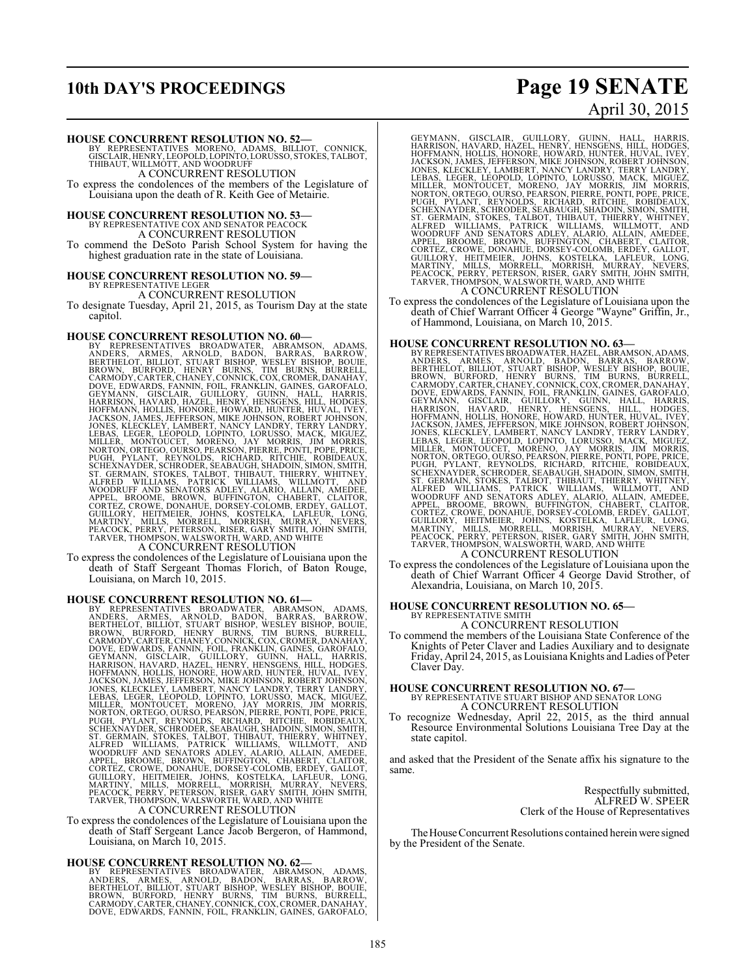## **10th DAY'S PROCEEDINGS Page 19 SENATE**

# April 30, 2015

#### **HOUSE CONCURRENT RESOLUTION NO. 52—**

BY REPRESENTATIVES MORENO, ADAMS, BILLIOT, CONNICK,<br>GISCLAIR,HENRY,LEOPOLD,LOPINTO,LORUSSO,STOKES,TALBOT,<br>THIBAUT,WILLMOTT,ANDWOODRUFF A CONCURRENT RESOLUTION

To express the condolences of the members of the Legislature of Louisiana upon the death of R. Keith Gee of Metairie.

**HOUSE CONCURRENT RESOLUTION NO. 53—** BY REPRESENTATIVE COX AND SENATOR PEACOCK

A CONCURRENT RESOLUTION To commend the DeSoto Parish School System for having the highest graduation rate in the state of Louisiana.

# **HOUSE CONCURRENT RESOLUTION NO. 59—** BY REPRESENTATIVE LEGER

A CONCURRENT RESOLUTION

To designate Tuesday, April 21, 2015, as Tourism Day at the state capitol.

HOUSE CONCURRENT RESOLUTION NO. 60—<br>BY REPRESENTATIVES BROADWATER, ABRAMSON, ADAMS, ANDERS, ARMES, ARNOLD, BADON, BARRAS, BARROW,<br>BERTHELOT, BILLIOT, STUART BISHOP, WESLEY BISHOP, BOUIE,<br>CARMODY, CARTER, CHANNY, BURNS, TIM

To express the condolences of the Legislature of Louisiana upon the death of Staff Sergeant Thomas Florich, of Baton Rouge, Louisiana, on March 10, 2015.

HOUSE CONCURRENT RESOLUTION NO. 61—<br>BY REPRESENTATIVES BROADWATER, ABRAMSS, ANDERS, ARMES, ARNOLD, BADON, BARNAS, BARROW,<br>BERTHELOT, BILLIOT, STUART BISHOP, WESLEY BISHOP, BOUIE,<br>CARMODY, CARTER, CHANNY BURNS, TIM BURNS, B

To express the condolences of the Legislature of Louisiana upon the death of Staff Sergeant Lance Jacob Bergeron, of Hammond, Louisiana, on March 10, 2015.

#### **HOUSE CONCURRENT RESOLUTION NO. 62—**

BY REPRESENTATIVES BROADWATER, ABRAMSON, ADAMS,<br>ANDERS, ARMES, ARNOLD, BADON, BARRAS, BAROW,<br>BERTHELOT,BILLIOT,STUART BISHOP,WESLEY-BISHOP,BOW,<br>BROWN, BURFORD, HENRY BURNS, TIM BURNS, BURRELL,<br>CARMODY,CARTER,CHANEY,CONNICK

GEYMANN, GISCLAIR, GUILLORY, GUINN, HALL, HARRIS,<br>HARRISON, HAVARD, HAZEL, HENRY, HENSGENS, HILL, HODGES,<br>HOFFMANN, HOLLIS, HONORE, HOWARD, HUNTER, HUVAL, IVEY,<br>JACKSON, JAMES, JEFFERSON, MIKE JOHNSON, ROBERT JOHNSON,<br>JONE

To express the condolences of the Legislature of Louisiana upon the death of Chief Warrant Officer 4 George "Wayne" Griffin, Jr., of Hammond, Louisiana, on March 10, 2015.

- **HOUSE CONCURRENT RESOLUTION NO. 63—** BY REPRESENTATIVES BROADWATER, HAZEL, ABRAMSON, ADAMS, ANDERS, ARMES, ARNOLD, BADON, BARRAS, BARROW, BERTHELOT, BILLIOT, STUART BISHOP, WESLEY BISHOP, BOUIE, CARMODY, CARTER (DIVINITOT, SUNCESTING DOVE, EDWARDS, FANNIN, FOIL, FRANKLIN, GAINES, GAROFALO, GOVE, EDWARDS, FANNIN,
- To express the condolences of the Legislature of Louisiana upon the death of Chief Warrant Officer 4 George David Strother, of Alexandria, Louisiana, on March 10, 2015.

# **HOUSE CONCURRENT RESOLUTION NO. 65—** BY REPRESENTATIVE SMITH

A CONCURRENT RESOLUTION

To commend the members of the Louisiana State Conference of the Knights of Peter Claver and Ladies Auxiliary and to designate Friday, April 24, 2015, as Louisiana Knights and Ladies of Peter Claver Day.

## **HOUSE CONCURRENT RESOLUTION NO. 67—** BY REPRESENTATIVE STUART BISHOP AND SENATOR LONG A CONCURRENT RESOLUTION

To recognize Wednesday, April 22, 2015, as the third annual Resource Environmental Solutions Louisiana Tree Day at the state capitol.

and asked that the President of the Senate affix his signature to the same.

> Respectfully submitted, ALFRED W. SPEER Clerk of the House of Representatives

The House Concurrent Resolutions contained herein were signed by the President of the Senate.